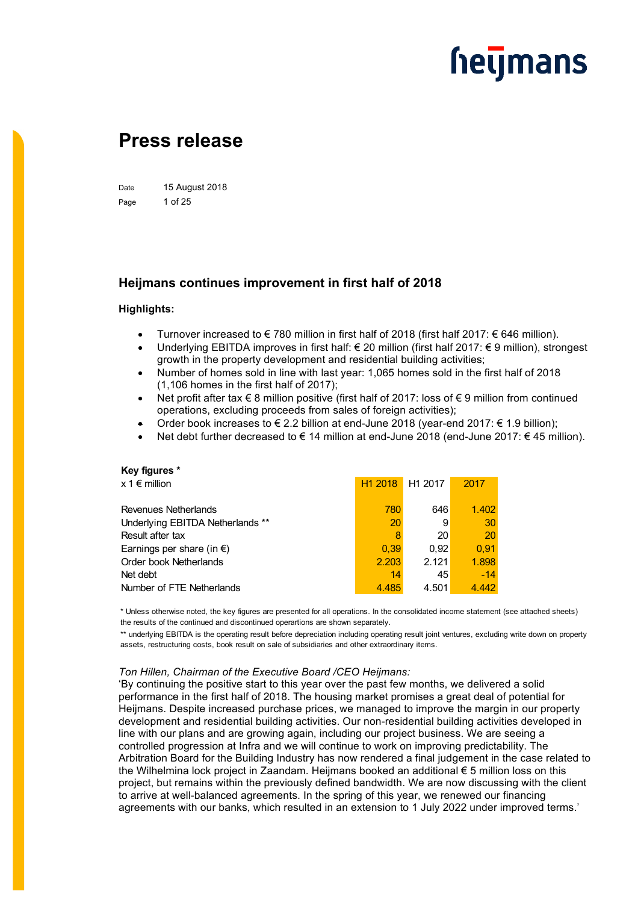### **Press release**

Date 15 August 2018 Page 1 of 25

### **Heijmans continues improvement in first half of 2018**

### **Highlights:**

- Turnover increased to €780 million in first half of 2018 (first half 2017: €646 million).
- Underlying EBITDA improves in first half: € 20 million (first half 2017: € 9 million), strongest growth in the property development and residential building activities;
- Number of homes sold in line with last year: 1,065 homes sold in the first half of 2018 (1,106 homes in the first half of 2017);
- Net profit after tax € 8 million positive (first half of 2017: loss of € 9 million from continued operations, excluding proceeds from sales of foreign activities);
- Order book increases to € 2.2 billion at end-June 2018 (year-end 2017: € 1.9 billion);
- Net debt further decreased to € 14 million at end-June 2018 (end-June 2017: € 45 million).

| Key figures *                       |                     |                     |       |
|-------------------------------------|---------------------|---------------------|-------|
| $x 1 \in \mathsf{million}$          | H <sub>1</sub> 2018 | H <sub>1</sub> 2017 | 2017  |
|                                     |                     |                     |       |
| Revenues Netherlands                | 780                 | 646                 | 1.402 |
| Underlying EBITDA Netherlands **    | 20                  | 9                   | 30    |
| Result after tax                    | 8                   | 20                  | 20    |
| Earnings per share (in $\epsilon$ ) | 0.39                | 0.92                | 0.91  |
| Order book Netherlands              | 2.203               | 2.121               | 1.898 |
| Net debt                            | 14                  | 45                  | $-14$ |
| Number of FTE Netherlands           | 4.485               | 4.501               | 4.442 |

\* Unless otherwise noted, the key figures are presented for all operations. In the consolidated income statement (see attached sheets) the results of the continued and discontinued operartions are shown separately.

\*\* underlying EBITDA is the operating result before depreciation including operating result joint ventures, excluding write down on property assets, restructuring costs, book result on sale of subsidiaries and other extraordinary items.

#### *Ton Hillen, Chairman of the Executive Board /CEO Heijmans:*

'By continuing the positive start to this year over the past few months, we delivered a solid performance in the first half of 2018. The housing market promises a great deal of potential for Heijmans. Despite increased purchase prices, we managed to improve the margin in our property development and residential building activities. Our non-residential building activities developed in line with our plans and are growing again, including our project business. We are seeing a controlled progression at Infra and we will continue to work on improving predictability. The Arbitration Board for the Building Industry has now rendered a final judgement in the case related to the Wilhelmina lock project in Zaandam. Heijmans booked an additional € 5 million loss on this project, but remains within the previously defined bandwidth. We are now discussing with the client to arrive at well-balanced agreements. In the spring of this year, we renewed our financing agreements with our banks, which resulted in an extension to 1 July 2022 under improved terms.'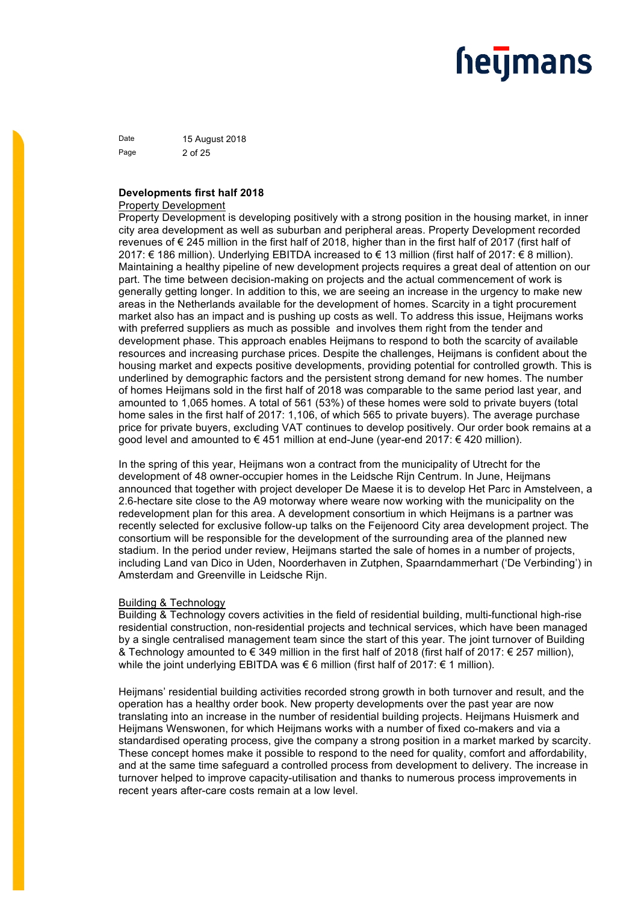Date 15 August 2018 Page 2 of 25

### **Developments first half 2018**

#### Property Development

Property Development is developing positively with a strong position in the housing market, in inner city area development as well as suburban and peripheral areas. Property Development recorded revenues of € 245 million in the first half of 2018, higher than in the first half of 2017 (first half of 2017: € 186 million). Underlying EBITDA increased to € 13 million (first half of 2017: € 8 million). Maintaining a healthy pipeline of new development projects requires a great deal of attention on our part. The time between decision-making on projects and the actual commencement of work is generally getting longer. In addition to this, we are seeing an increase in the urgency to make new areas in the Netherlands available for the development of homes. Scarcity in a tight procurement market also has an impact and is pushing up costs as well. To address this issue, Heijmans works with preferred suppliers as much as possible and involves them right from the tender and development phase. This approach enables Heijmans to respond to both the scarcity of available resources and increasing purchase prices. Despite the challenges, Heijmans is confident about the housing market and expects positive developments, providing potential for controlled growth. This is underlined by demographic factors and the persistent strong demand for new homes. The number of homes Heijmans sold in the first half of 2018 was comparable to the same period last year, and amounted to 1,065 homes. A total of 561 (53%) of these homes were sold to private buyers (total home sales in the first half of 2017: 1,106, of which 565 to private buyers). The average purchase price for private buyers, excluding VAT continues to develop positively. Our order book remains at a good level and amounted to € 451 million at end-June (year-end 2017: € 420 million).

In the spring of this year, Heijmans won a contract from the municipality of Utrecht for the development of 48 owner-occupier homes in the Leidsche Rijn Centrum. In June, Heijmans announced that together with project developer De Maese it is to develop Het Parc in Amstelveen, a 2.6-hectare site close to the A9 motorway where weare now working with the municipality on the redevelopment plan for this area. A development consortium in which Heijmans is a partner was recently selected for exclusive follow-up talks on the Feijenoord City area development project. The consortium will be responsible for the development of the surrounding area of the planned new stadium. In the period under review, Heijmans started the sale of homes in a number of projects, including Land van Dico in Uden, Noorderhaven in Zutphen, Spaarndammerhart ('De Verbinding') in Amsterdam and Greenville in Leidsche Rijn.

### Building & Technology

Building & Technology covers activities in the field of residential building, multi-functional high-rise residential construction, non-residential projects and technical services, which have been managed by a single centralised management team since the start of this year. The joint turnover of Building & Technology amounted to € 349 million in the first half of 2018 (first half of 2017: € 257 million), while the joint underlying EBITDA was € 6 million (first half of 2017: € 1 million).

Heijmans' residential building activities recorded strong growth in both turnover and result, and the operation has a healthy order book. New property developments over the past year are now translating into an increase in the number of residential building projects. Heijmans Huismerk and Heijmans Wenswonen, for which Heijmans works with a number of fixed co-makers and via a standardised operating process, give the company a strong position in a market marked by scarcity. These concept homes make it possible to respond to the need for quality, comfort and affordability, and at the same time safeguard a controlled process from development to delivery. The increase in turnover helped to improve capacity-utilisation and thanks to numerous process improvements in recent years after-care costs remain at a low level.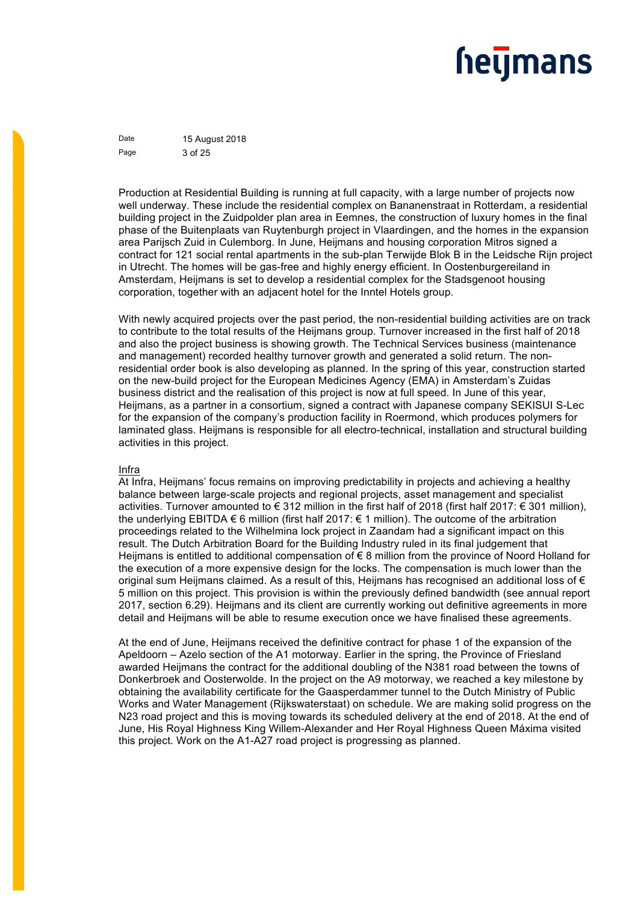Date 15 August 2018 Page 3 of 25

Production at Residential Building is running at full capacity, with a large number of projects now well underway. These include the residential complex on Bananenstraat in Rotterdam, a residential building project in the Zuidpolder plan area in Eemnes, the construction of luxury homes in the final phase of the Buitenplaats van Ruytenburgh project in Vlaardingen, and the homes in the expansion area Parijsch Zuid in Culemborg. In June, Heijmans and housing corporation Mitros signed a contract for 121 social rental apartments in the sub-plan Terwijde Blok B in the Leidsche Rijn project in Utrecht. The homes will be gas-free and highly energy efficient. In Oostenburgereiland in Amsterdam, Heijmans is set to develop a residential complex for the Stadsgenoot housing corporation, together with an adjacent hotel for the Inntel Hotels group.

With newly acquired projects over the past period, the non-residential building activities are on track to contribute to the total results of the Heijmans group. Turnover increased in the first half of 2018 and also the project business is showing growth. The Technical Services business (maintenance and management) recorded healthy turnover growth and generated a solid return. The nonresidential order book is also developing as planned. In the spring of this year, construction started on the new-build project for the European Medicines Agency (EMA) in Amsterdam's Zuidas business district and the realisation of this project is now at full speed. In June of this year, Heijmans, as a partner in a consortium, signed a contract with Japanese company SEKISUI S-Lec for the expansion of the company's production facility in Roermond, which produces polymers for laminated glass. Heijmans is responsible for all electro-technical, installation and structural building activities in this project.

#### Infra

At Infra, Heijmans' focus remains on improving predictability in projects and achieving a healthy balance between large-scale projects and regional projects, asset management and specialist activities. Turnover amounted to € 312 million in the first half of 2018 (first half 2017: € 301 million), the underlying EBITDA € 6 million (first half 2017: € 1 million). The outcome of the arbitration proceedings related to the Wilhelmina lock project in Zaandam had a significant impact on this result. The Dutch Arbitration Board for the Building Industry ruled in its final judgement that Heijmans is entitled to additional compensation of € 8 million from the province of Noord Holland for the execution of a more expensive design for the locks. The compensation is much lower than the original sum Heijmans claimed. As a result of this, Heijmans has recognised an additional loss of € 5 million on this project. This provision is within the previously defined bandwidth (see annual report 2017, section 6.29). Heijmans and its client are currently working out definitive agreements in more detail and Heijmans will be able to resume execution once we have finalised these agreements.

At the end of June, Heijmans received the definitive contract for phase 1 of the expansion of the Apeldoorn – Azelo section of the A1 motorway. Earlier in the spring, the Province of Friesland awarded Heijmans the contract for the additional doubling of the N381 road between the towns of Donkerbroek and Oosterwolde. In the project on the A9 motorway, we reached a key milestone by obtaining the availability certificate for the Gaasperdammer tunnel to the Dutch Ministry of Public Works and Water Management (Rijkswaterstaat) on schedule. We are making solid progress on the N23 road project and this is moving towards its scheduled delivery at the end of 2018. At the end of June, His Royal Highness King Willem-Alexander and Her Royal Highness Queen Máxima visited this project. Work on the A1-A27 road project is progressing as planned.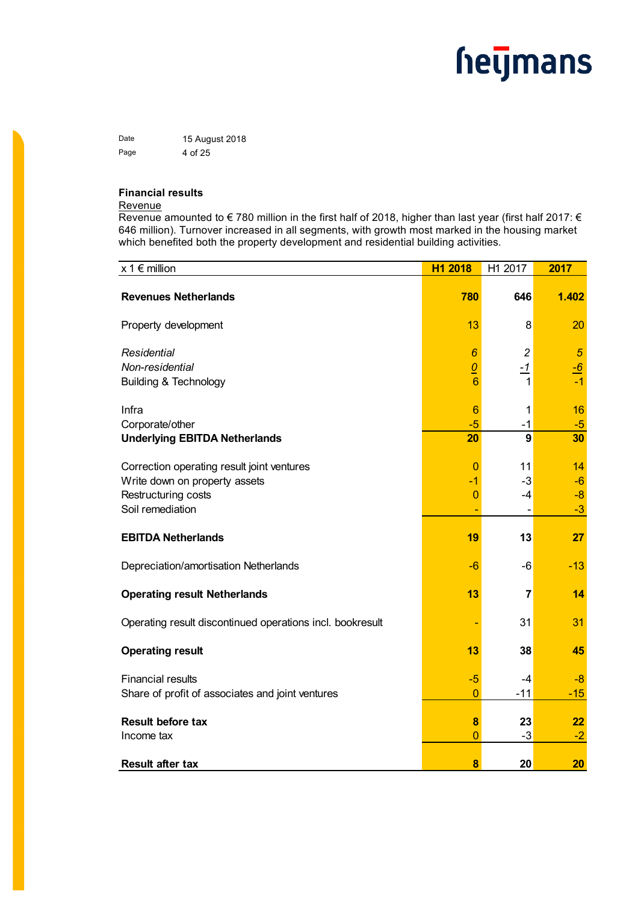Date 15 August 2018 Page 4 of 25

### **Financial results**

### Revenue

Revenue amounted to  $\epsilon$  780 million in the first half of 2018, higher than last year (first half 2017:  $\epsilon$ 646 million). Turnover increased in all segments, with growth most marked in the housing market which benefited both the property development and residential building activities.

| $x 1 \in \text{million}$                                  | H1 2018                          | H1 2017                | 2017                   |
|-----------------------------------------------------------|----------------------------------|------------------------|------------------------|
| <b>Revenues Netherlands</b>                               | 780                              | 646                    | 1.402                  |
| Property development                                      | 13                               | 8                      | 20                     |
| Residential                                               | 6                                | $\overline{c}$         | $\sqrt{5}$             |
| Non-residential<br><b>Building &amp; Technology</b>       | $\overline{0}$<br>6              | $-1$<br>$\mathbf{1}$   | $\frac{-6}{2}$<br>$-1$ |
| Infra                                                     | 6                                | 1                      | 16                     |
| Corporate/other<br><b>Underlying EBITDA Netherlands</b>   | $-5$<br>20                       | $-1$<br>$\overline{9}$ | $-5$<br>30             |
| Correction operating result joint ventures                | $\overline{0}$                   | 11                     | 14                     |
| Write down on property assets<br>Restructuring costs      | $\blacksquare$<br>$\overline{0}$ | $-3$<br>$-4$           | $-6$<br>$-8$           |
| Soil remediation                                          |                                  |                        | $-3$                   |
| <b>EBITDA Netherlands</b>                                 | 19                               | 13                     | 27                     |
| Depreciation/amortisation Netherlands                     | -6                               | $-6$                   | $-13$                  |
| <b>Operating result Netherlands</b>                       | 13                               | $\overline{7}$         | 14                     |
| Operating result discontinued operations incl. bookresult |                                  | 31                     | 31                     |
| <b>Operating result</b>                                   | 13                               | 38                     | 45                     |
| <b>Financial results</b>                                  | $-5$<br>$\overline{0}$           | $-4$<br>$-11$          | $-8$<br>$-15$          |
| Share of profit of associates and joint ventures          |                                  |                        |                        |
| <b>Result before tax</b>                                  | 8                                | 23                     | 22                     |
| Income tax                                                | $\overline{0}$                   | $-3$                   | $-2$                   |
| <b>Result after tax</b>                                   | 8                                | 20                     | 20                     |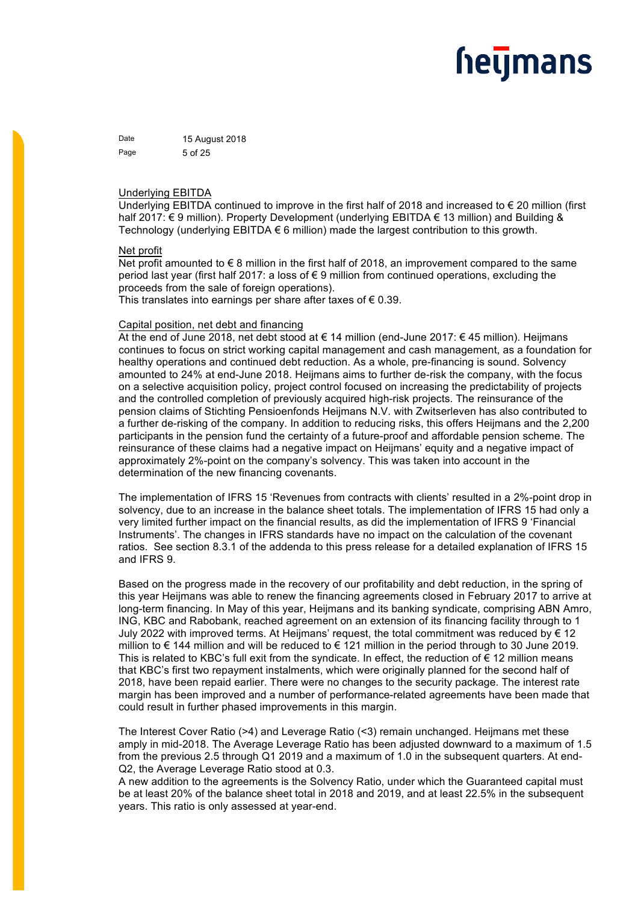Date 15 August 2018 Page 5 of 25

### Underlying EBITDA

Underlying EBITDA continued to improve in the first half of 2018 and increased to € 20 million (first half 2017: € 9 million). Property Development (underlying EBITDA € 13 million) and Building & Technology (underlying EBITDA € 6 million) made the largest contribution to this growth.

### Net profit

Net profit amounted to €8 million in the first half of 2018, an improvement compared to the same period last year (first half 2017: a loss of € 9 million from continued operations, excluding the proceeds from the sale of foreign operations).

This translates into earnings per share after taxes of  $\epsilon$  0.39.

### Capital position, net debt and financing

At the end of June 2018, net debt stood at € 14 million (end-June 2017: € 45 million). Heijmans continues to focus on strict working capital management and cash management, as a foundation for healthy operations and continued debt reduction. As a whole, pre-financing is sound. Solvency amounted to 24% at end-June 2018. Heijmans aims to further de-risk the company, with the focus on a selective acquisition policy, project control focused on increasing the predictability of projects and the controlled completion of previously acquired high-risk projects. The reinsurance of the pension claims of Stichting Pensioenfonds Heijmans N.V. with Zwitserleven has also contributed to a further de-risking of the company. In addition to reducing risks, this offers Heijmans and the 2,200 participants in the pension fund the certainty of a future-proof and affordable pension scheme. The reinsurance of these claims had a negative impact on Heijmans' equity and a negative impact of approximately 2%-point on the company's solvency. This was taken into account in the determination of the new financing covenants.

The implementation of IFRS 15 'Revenues from contracts with clients' resulted in a 2%-point drop in solvency, due to an increase in the balance sheet totals. The implementation of IFRS 15 had only a very limited further impact on the financial results, as did the implementation of IFRS 9 'Financial Instruments'. The changes in IFRS standards have no impact on the calculation of the covenant ratios. See section 8.3.1 of the addenda to this press release for a detailed explanation of IFRS 15 and IFRS 9.

Based on the progress made in the recovery of our profitability and debt reduction, in the spring of this year Heijmans was able to renew the financing agreements closed in February 2017 to arrive at long-term financing. In May of this year, Heijmans and its banking syndicate, comprising ABN Amro, ING, KBC and Rabobank, reached agreement on an extension of its financing facility through to 1 July 2022 with improved terms. At Heijmans' request, the total commitment was reduced by € 12 million to € 144 million and will be reduced to € 121 million in the period through to 30 June 2019. This is related to KBC's full exit from the syndicate. In effect, the reduction of  $\epsilon$  12 million means that KBC's first two repayment instalments, which were originally planned for the second half of 2018, have been repaid earlier. There were no changes to the security package. The interest rate margin has been improved and a number of performance-related agreements have been made that could result in further phased improvements in this margin.

The Interest Cover Ratio (>4) and Leverage Ratio (<3) remain unchanged. Heijmans met these amply in mid-2018. The Average Leverage Ratio has been adjusted downward to a maximum of 1.5 from the previous 2.5 through Q1 2019 and a maximum of 1.0 in the subsequent quarters. At end-Q2, the Average Leverage Ratio stood at 0.3.

A new addition to the agreements is the Solvency Ratio, under which the Guaranteed capital must be at least 20% of the balance sheet total in 2018 and 2019, and at least 22.5% in the subsequent years. This ratio is only assessed at year-end.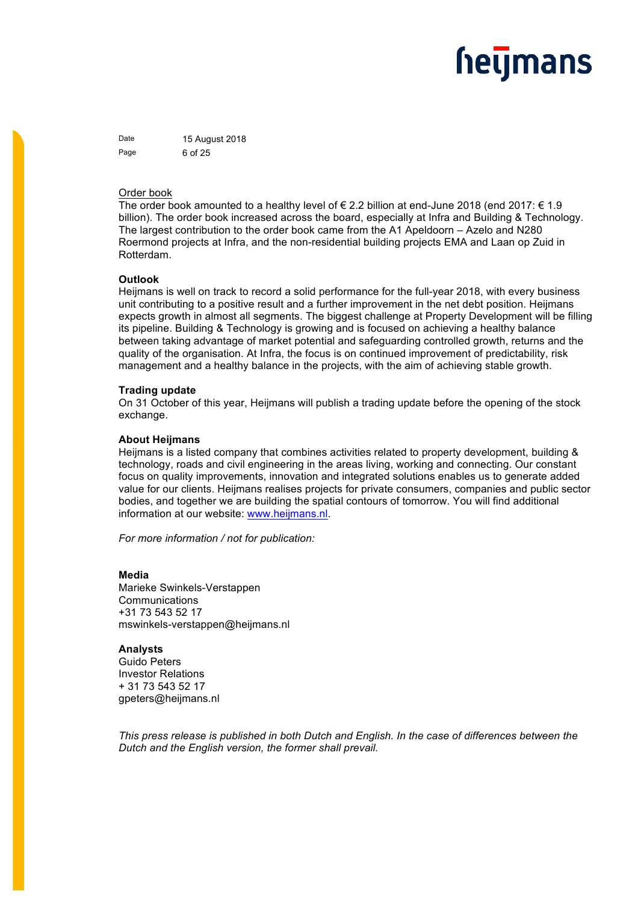Date 15 August 2018 Page 6 of 25

### Order book

The order book amounted to a healthy level of  $\in$  2.2 billion at end-June 2018 (end 2017:  $\in$  1.9 billion). The order book increased across the board, especially at Infra and Building & Technology. The largest contribution to the order book came from the A1 Apeldoorn – Azelo and N280 Roermond projects at Infra, and the non-residential building projects EMA and Laan op Zuid in Rotterdam.

#### **Outlook**

Heijmans is well on track to record a solid performance for the full-year 2018, with every business unit contributing to a positive result and a further improvement in the net debt position. Heijmans expects growth in almost all segments. The biggest challenge at Property Development will be filling its pipeline. Building & Technology is growing and is focused on achieving a healthy balance between taking advantage of market potential and safeguarding controlled growth, returns and the quality of the organisation. At Infra, the focus is on continued improvement of predictability, risk management and a healthy balance in the projects, with the aim of achieving stable growth.

#### **Trading update**

On 31 October of this year, Heijmans will publish a trading update before the opening of the stock exchange.

### **About Heijmans**

Heijmans is a listed company that combines activities related to property development, building & technology, roads and civil engineering in the areas living, working and connecting. Our constant focus on quality improvements, innovation and integrated solutions enables us to generate added value for our clients. Heijmans realises projects for private consumers, companies and public sector bodies, and together we are building the spatial contours of tomorrow. You will find additional information at our website: www.heijmans.nl.

*For more information / not for publication:* 

**Media**  Marieke Swinkels-Verstappen Communications +31 73 543 52 17 mswinkels-verstappen@heijmans.nl

**Analysts** Guido Peters Investor Relations + 31 73 543 52 17 gpeters@heijmans.nl

*This press release is published in both Dutch and English. In the case of differences between the Dutch and the English version, the former shall prevail.*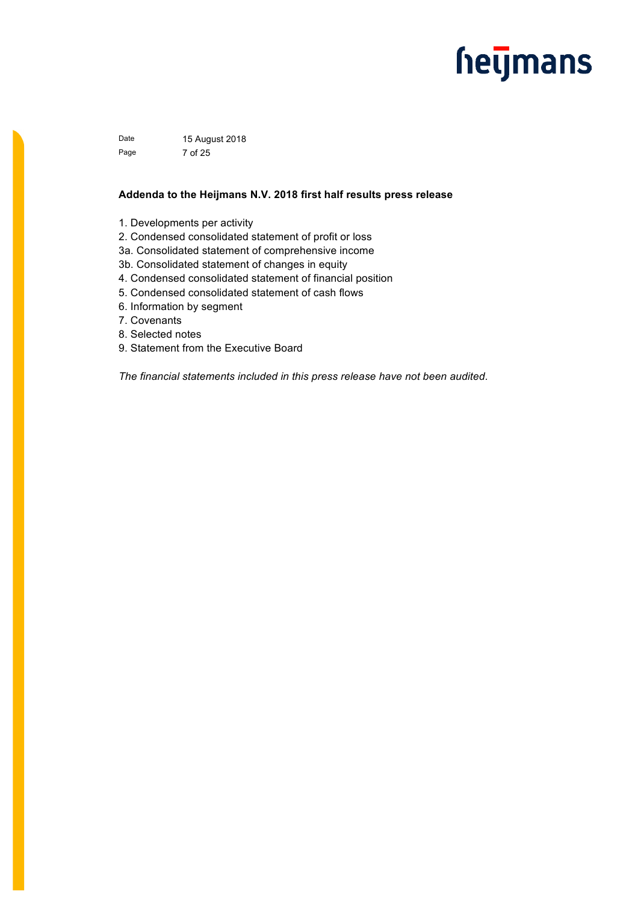Date 15 August 2018 Page 7 of 25

### **Addenda to the Heijmans N.V. 2018 first half results press release**

- 1. Developments per activity
- 2. Condensed consolidated statement of profit or loss
- 3a. Consolidated statement of comprehensive income
- 3b. Consolidated statement of changes in equity
- 4. Condensed consolidated statement of financial position
- 5. Condensed consolidated statement of cash flows
- 6. Information by segment
- 7. Covenants
- 8. Selected notes
- 9. Statement from the Executive Board

*The financial statements included in this press release have not been audited.*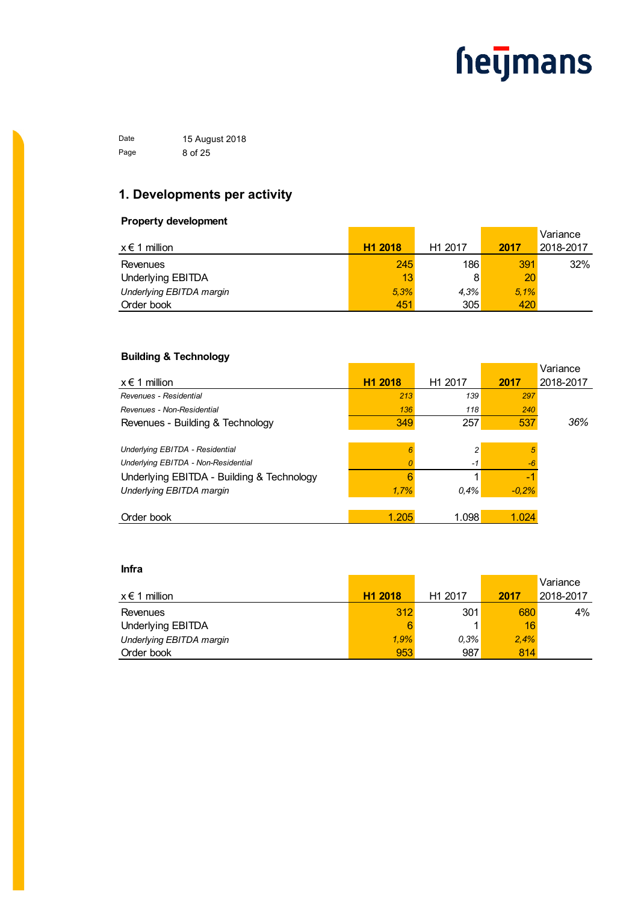Date 15 August 2018 Page 8 of 25

### **1. Developments per activity**

### **Property development**

|                          |                     |                     |      | Variance  |
|--------------------------|---------------------|---------------------|------|-----------|
| $x \in 1$ million        | H <sub>1</sub> 2018 | H <sub>1</sub> 2017 | 2017 | 2018-2017 |
| Revenues                 | 245                 | 186                 | 391  | 32%       |
| Underlying EBITDA        | 13                  | 8                   | 20   |           |
| Underlying EBITDA margin | 5.3%                | 4.3%                | 5.1% |           |
| Order book               | 451                 | 305                 | 420  |           |

### **Building & Technology**

|                                           |                     |                     |         | Variance  |
|-------------------------------------------|---------------------|---------------------|---------|-----------|
| $x \in 1$ million                         | H <sub>1</sub> 2018 | H <sub>1</sub> 2017 | 2017    | 2018-2017 |
| Revenues - Residential                    | 213                 | 139                 | 297     |           |
| Revenues - Non-Residential                | 136                 | 118                 | 240     |           |
| Revenues - Building & Technology          | 349                 | 257                 | 537     | 36%       |
|                                           |                     |                     |         |           |
| Underlying EBITDA - Residential           | 6                   | 2                   | 5       |           |
| Underlying EBITDA - Non-Residential       | 0                   | $-1$                | $-6$    |           |
| Underlying EBITDA - Building & Technology | 6                   |                     | -1      |           |
| Underlying EBITDA margin                  | 1,7%                | $0.4\%$             | $-0.2%$ |           |
|                                           |                     |                     |         |           |
| Order book                                | 1.205               | 1.098               | 1.024   |           |

### **Infra**

|                          |                     |                     |      | Variance  |
|--------------------------|---------------------|---------------------|------|-----------|
| $x \in 1$ million        | H <sub>1</sub> 2018 | H <sub>1</sub> 2017 | 2017 | 2018-2017 |
| Revenues                 | 312                 | 301                 | 680  | $4\%$     |
| Underlying EBITDA        | 6                   |                     | 16   |           |
| Underlying EBITDA margin | 1.9%                | $0.3\%$             | 2.4% |           |
| Order book               | 953                 | 987                 | 814  |           |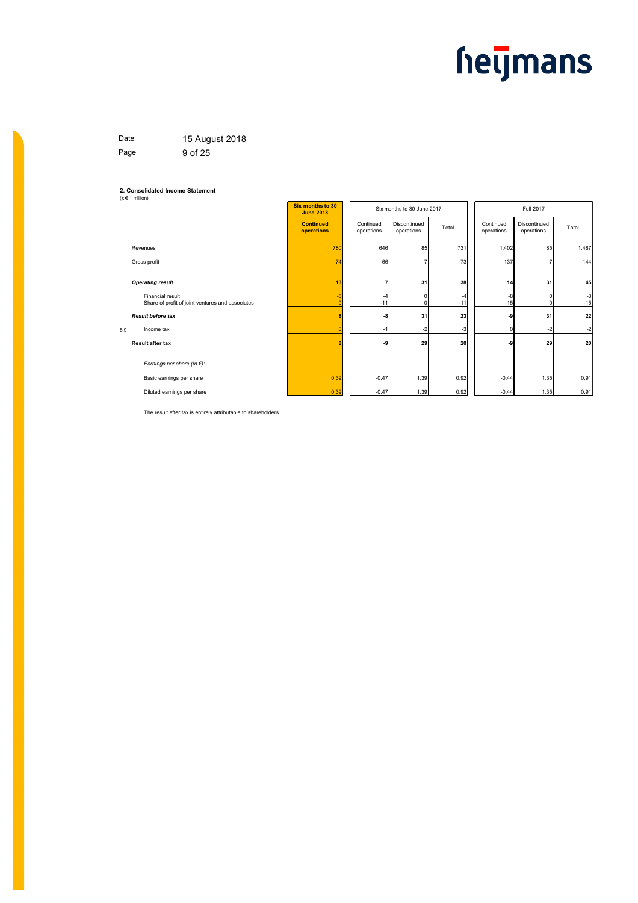### Date 15 August 2018 Page 9 of 25

### **2. Consolidated Income Statement** (x € 1 million)

| ,                                                                    |                                      |                         |                            |             |                         |                            |               |  |
|----------------------------------------------------------------------|--------------------------------------|-------------------------|----------------------------|-------------|-------------------------|----------------------------|---------------|--|
|                                                                      | Six months to 30<br><b>June 2018</b> |                         | Six months to 30 June 2017 |             |                         | Full 2017                  |               |  |
|                                                                      | <b>Continued</b><br>operations       | Continued<br>operations | Discontinued<br>operations | Total       | Continued<br>operations | Discontinued<br>operations | Total         |  |
| Revenues                                                             | 780                                  | 646                     | 85                         | 731         | 1.402                   | 85                         | 1.487         |  |
| Gross profit                                                         | 74                                   | 66                      |                            | 73          | 137                     | 7                          | 144           |  |
| <b>Operating result</b>                                              | 13                                   | 7                       | 31                         | 38          | 14                      | 31                         | 45            |  |
| Financial result<br>Share of profit of joint ventures and associates | $-5$<br>r                            | -4<br>$-11$             | $\Omega$<br>$\Omega$       | -4<br>$-11$ | $-8$<br>$-15$           | $\mathbf 0$<br>$\Omega$    | $-8$<br>$-15$ |  |
| <b>Result before tax</b>                                             | 8                                    | -8                      | 31                         | 23          | -9                      | 31                         | 22            |  |
| 8.9<br>Income tax                                                    |                                      | $-1$                    | $-2$                       | $-3$        | ŋ                       | $-2$                       | $-2$          |  |
| <b>Result after tax</b>                                              | 8                                    | -9                      | 29                         | 20          | -9                      | 29                         | 20            |  |
| Earnings per share (in $\epsilon$ ):                                 |                                      |                         |                            |             |                         |                            |               |  |
| Basic earnings per share                                             | 0,39                                 | $-0,47$                 | 1,39                       | 0,92        | $-0,44$                 | 1,35                       | 0,91          |  |
| Diluted earnings per share                                           | 0,39                                 | $-0,47$                 | 1,39                       | 0,92        | $-0,44$                 | 1,35                       | 0,91          |  |

The result after tax is entirely attributable to shareholders.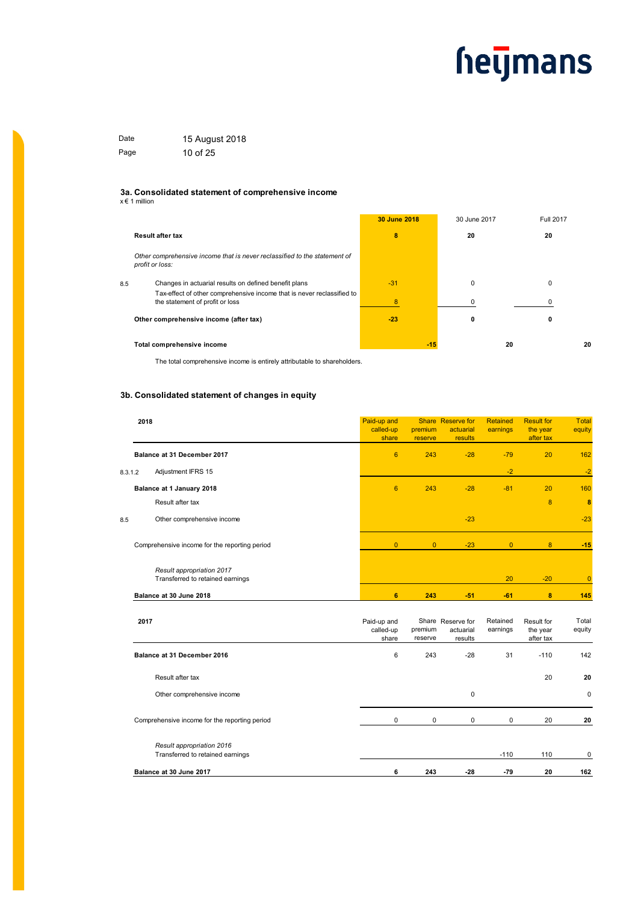| Date | 15 August 2018 |
|------|----------------|
| Page | 10 of 25       |

#### **3a. Consolidated statement of comprehensive income**

x € 1 million

|                                                                                                           | 30 June 2018 | 30 June 2017 | Full 2017 |
|-----------------------------------------------------------------------------------------------------------|--------------|--------------|-----------|
| <b>Result after tax</b>                                                                                   | 8            | 20           | 20        |
| Other comprehensive income that is never reclassified to the statement of<br>profit or loss:              |              |              |           |
| Changes in actuarial results on defined benefit plans<br>8.5                                              | $-31$        | 0            | 0         |
| Tax-effect of other comprehensive income that is never reclassified to<br>the statement of profit or loss | 8            |              |           |
| Other comprehensive income (after tax)                                                                    | $-23$        | 0            | 0         |
| Total comprehensive income                                                                                | $-15$        |              | 20<br>20  |

The total comprehensive income is entirely attributable to shareholders.

### **3b. Consolidated statement of changes in equity**

|         | 2018                                                          | Paid-up and<br>called-up<br>share | premium<br>reserve | Share Reserve for<br>actuarial<br>results | Retained<br>earnings | <b>Result for</b><br>the year<br>after tax | <b>Total</b><br>equity |
|---------|---------------------------------------------------------------|-----------------------------------|--------------------|-------------------------------------------|----------------------|--------------------------------------------|------------------------|
|         | Balance at 31 December 2017                                   | $6\phantom{1}$                    | 243                | $-28$                                     | $-79$                | 20                                         | 162                    |
| 8.3.1.2 | Adjustment IFRS 15                                            |                                   |                    |                                           | $-2$                 |                                            | $-2$                   |
|         | Balance at 1 January 2018                                     | 6                                 | 243                | $-28$                                     | $-81$                | 20                                         | 160                    |
|         | Result after tax                                              |                                   |                    |                                           |                      | 8                                          | $\boldsymbol{8}$       |
| 8.5     | Other comprehensive income                                    |                                   |                    | $-23$                                     |                      |                                            | $-23$                  |
|         | Comprehensive income for the reporting period                 | $\overline{0}$                    | $\overline{0}$     | $-23$                                     | $\overline{0}$       | 8                                          | $-15$                  |
|         | Result appropriation 2017<br>Transferred to retained earnings |                                   |                    |                                           | 20                   | $-20$                                      | $\overline{0}$         |
|         | Balance at 30 June 2018                                       | 6                                 | 243                | $-51$                                     | $-61$                | 8                                          | 145                    |
|         | 2017                                                          | Paid-up and<br>called-up<br>share | premium<br>reserve | Share Reserve for<br>actuarial<br>results | Retained<br>earnings | Result for<br>the year<br>after tax        | Total<br>equity        |
|         | Balance at 31 December 2016                                   | 6                                 | 243                | $-28$                                     | 31                   | $-110$                                     | 142                    |
|         | Result after tax                                              |                                   |                    |                                           |                      | 20                                         | 20                     |
|         | Other comprehensive income                                    |                                   |                    | $\mathbf 0$                               |                      |                                            | $\Omega$               |
|         | Comprehensive income for the reporting period                 | $\pmb{0}$                         | $\pmb{0}$          | 0                                         | 0                    | 20                                         | 20                     |
|         | Result appropriation 2016<br>Transferred to retained earnings |                                   |                    |                                           | $-110$               | 110                                        | 0                      |
|         | Balance at 30 June 2017                                       | 6                                 | 243                | $-28$                                     | $-79$                | 20                                         | 162                    |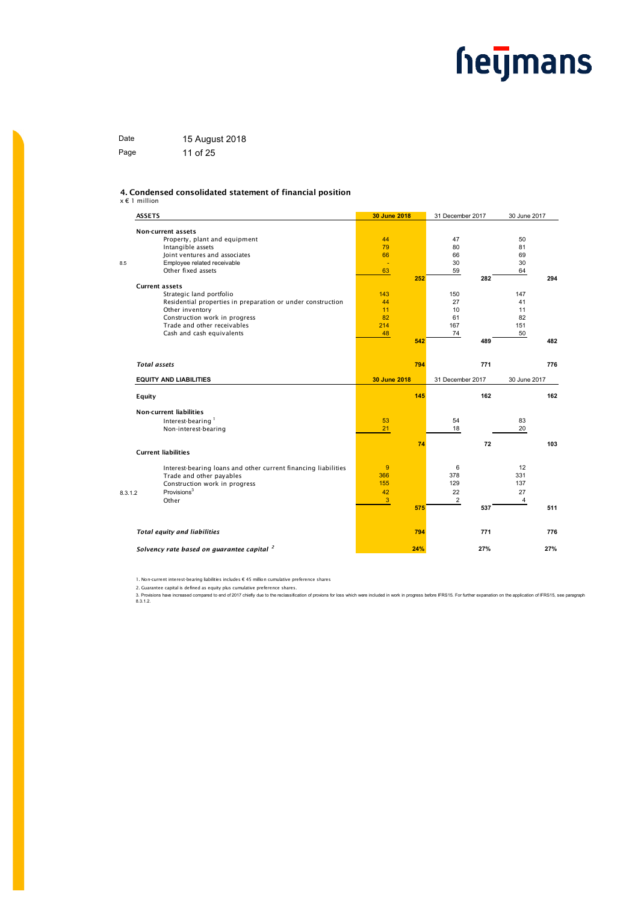| Date | 15 August 2018 |
|------|----------------|
| Page | 11 of 25       |

#### 4. Condensed consolidated statement of financial position

#### x € 1 million

| <b>ASSETS</b> |                                                                | 30 June 2018 |     | 31 December 2017 |     | 30 June 2017 |     |
|---------------|----------------------------------------------------------------|--------------|-----|------------------|-----|--------------|-----|
|               | <b>Non-current assets</b>                                      |              |     |                  |     |              |     |
|               | Property, plant and equipment                                  | 44           |     | 47               |     | 50           |     |
|               | Intangible assets                                              | 79           |     | 80               |     | 81           |     |
|               | Joint ventures and associates                                  | 66           |     | 66               |     | 69           |     |
|               | Employee related receivable                                    | ÷.           |     | 30               |     | 30           |     |
|               | Other fixed assets                                             | 63           |     | 59               |     | 64           |     |
|               |                                                                |              | 252 |                  | 282 |              | 294 |
|               | <b>Current assets</b>                                          |              |     |                  |     |              |     |
|               | Strategic land portfolio                                       | 143          |     | 150              |     | 147          |     |
|               | Residential properties in preparation or under construction    | 44           |     | 27               |     | 41           |     |
|               | Other inventory                                                | 11           |     | 10               |     | 11           |     |
|               | Construction work in progress                                  | 82           |     | 61               |     | 82           |     |
|               | Trade and other receivables                                    | 214          |     | 167              |     | 151          |     |
|               | Cash and cash equivalents                                      | 48           |     | 74               |     | 50           |     |
|               |                                                                |              | 542 |                  | 489 |              | 482 |
|               | <b>Total assets</b>                                            |              | 794 |                  | 771 |              | 776 |
|               |                                                                |              |     |                  |     |              |     |
|               | <b>EQUITY AND LIABILITIES</b>                                  | 30 June 2018 |     | 31 December 2017 |     | 30 June 2017 |     |
| Equity        |                                                                |              | 145 |                  | 162 |              | 162 |
|               | <b>Non-current liabilities</b>                                 |              |     |                  |     |              |     |
|               | Interest-bearing <sup>1</sup>                                  | 53           |     | 54               |     | 83           |     |
|               | Non-interest-bearing                                           | 21           |     | 18               |     | 20           |     |
|               |                                                                |              |     |                  |     |              |     |
|               | <b>Current liabilities</b>                                     |              | 74  |                  | 72  |              | 103 |
|               |                                                                |              |     |                  |     |              |     |
|               | Interest-bearing loans and other current financing liabilities | 9            |     | 6                |     | 12           |     |
|               | Trade and other payables                                       | 366          |     | 378              |     | 331          |     |
|               | Construction work in progress                                  | 155          |     | 129              |     | 137          |     |
| 8.3.1.2       | Provisions <sup>3</sup>                                        | 42           |     | 22               |     | 27           |     |
|               | Other                                                          | 3            |     | $\overline{c}$   |     | 4            |     |
|               |                                                                |              | 575 |                  | 537 |              | 511 |
|               | <b>Total equity and liabilities</b>                            |              | 794 |                  | 771 |              | 776 |
|               |                                                                |              |     |                  |     |              |     |
|               | Solvency rate based on guarantee capital <sup>2</sup>          |              | 24% |                  | 27% |              | 27% |

1. Non-current interest-bearing liabilities includes € 45 million cumulative preference shares

2. Guarantee capital is defined as equity plus cumulative preference shares.<br>3. Provisions have increased compared to end of 2017 chiefly due to the reclassification of proviors for loss which were included in work in prog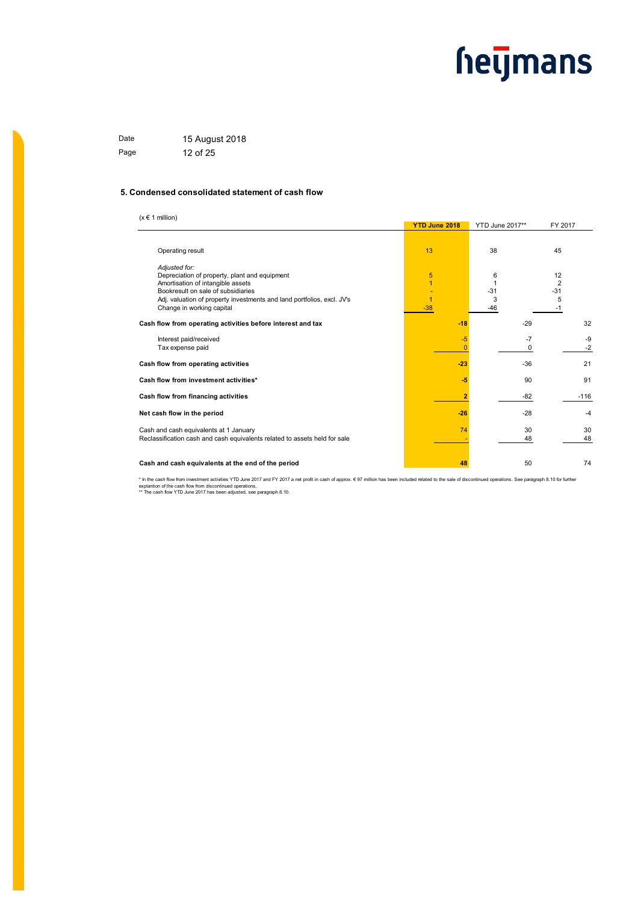Date 15 August 2018 Page 12 of 25

#### **5. Condensed consolidated statement of cash flow**

 $(x \in 1$  million)

|                                                                            | <b>YTD June 2018</b> | <b>YTD June 2017**</b> | FY 2017        |  |
|----------------------------------------------------------------------------|----------------------|------------------------|----------------|--|
|                                                                            |                      |                        |                |  |
| Operating result                                                           | 13                   | 38                     | 45             |  |
| Adjusted for:                                                              |                      |                        |                |  |
| Depreciation of property, plant and equipment                              | 5                    | 6                      | 12             |  |
| Amortisation of intangible assets                                          | $\overline{1}$       |                        | $\overline{2}$ |  |
| Bookresult on sale of subsidiaries                                         |                      | $-31$                  | $-31$          |  |
| Adj. valuation of property investments and land portfolios, excl. JV's     | 1                    | 3                      | 5              |  |
| Change in working capital                                                  | $-38$                | -46                    | -1             |  |
| Cash flow from operating activities before interest and tax                | $-18$                | $-29$                  | 32             |  |
| Interest paid/received                                                     | -5                   | $-7$                   | -9             |  |
| Tax expense paid                                                           |                      | 0                      | $-2$           |  |
|                                                                            |                      |                        |                |  |
| Cash flow from operating activities                                        | $-23$                | $-36$                  | 21             |  |
| Cash flow from investment activities*                                      | -5                   | 90                     | 91             |  |
| Cash flow from financing activities                                        |                      | $-82$                  | $-116$         |  |
| Net cash flow in the period                                                | $-26$                | $-28$                  | $-4$           |  |
| Cash and cash equivalents at 1 January                                     | 74                   | 30                     | 30             |  |
| Reclassification cash and cash equivalents related to assets held for sale |                      | 48                     | 48             |  |
| Cash and cash equivalents at the end of the period                         | 48                   | 50                     | 74             |  |
|                                                                            |                      |                        |                |  |

\* In the cash flow from investment activities YTD June 2017 and FY 2017 a net profit in cash of approx. € 97 million has been included related to the sale of discontinued operations. See paragraph 8.10 for further explantion of the cash flow from discontinued operations. \*\* The cash flow YTD June 2017 has been adjusted, see paragraph 8.10.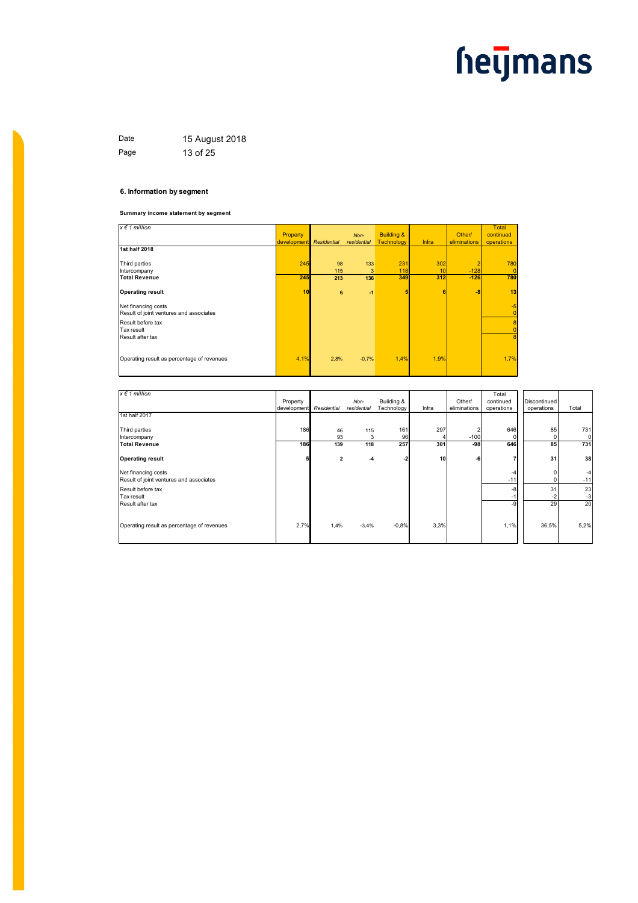Date 15 August 2018 Page 13 of 25

#### **6. Information by segment**

**Summary income statement by segment**

| $x \in 1$ million                                              | Property    |                    | Non-        | <b>Building &amp;</b> |       | Other/       | Total<br>continued     |
|----------------------------------------------------------------|-------------|--------------------|-------------|-----------------------|-------|--------------|------------------------|
|                                                                | development | <b>Residential</b> | residential | <b>Technology</b>     | Infra | eliminations | operations             |
| 1st half 2018                                                  |             |                    |             |                       |       |              |                        |
| Third parties                                                  | 245         | 98                 | 133         | 231                   | 302   |              | 780                    |
| Intercompany                                                   |             | 115                | 3           | 118                   | 10    | $-128$       | $\vert 0 \vert$        |
| <b>Total Revenue</b>                                           | 245         | 213                | 136         | 349                   | 312   | $-126$       | 780                    |
| <b>Operating result</b>                                        | 10          | 6                  | $-1$        | 5                     | 6     | $-8$         | 13                     |
| Net financing costs<br>Result of joint ventures and associates |             |                    |             |                       |       |              | $-5$<br>$\overline{0}$ |
| Result before tax                                              |             |                    |             |                       |       |              | 8                      |
| Tax result                                                     |             |                    |             |                       |       |              | $\overline{0}$         |
| Result after tax                                               |             |                    |             |                       |       |              | 8                      |
| Operating result as percentage of revenues                     | 4,1%        | 2,8%               | $-0,7%$     | 1,4%                  | 1,9%  |              | 1,7%                   |

| $x \in 1$ million                                              | Property<br>development | Residential    | Non-<br>residential | Building &<br>Technology | Infra | Other/<br>eliminations | Total<br>continued<br>operations | Discontinued<br>operations | Total            |
|----------------------------------------------------------------|-------------------------|----------------|---------------------|--------------------------|-------|------------------------|----------------------------------|----------------------------|------------------|
| 1st half 2017                                                  |                         |                |                     |                          |       |                        |                                  |                            |                  |
| Third parties<br>Intercompany                                  | 186                     | 46<br>93       | 115<br>3            | 161<br>96                | 297   | 2<br>$-100$            | 646<br>$\Omega$                  | 85                         | 731<br>$\Omega$  |
| <b>Total Revenue</b>                                           | 186                     | 139            | 118                 | 257                      | 301   | -98                    | 646                              | 85                         | 731              |
| <b>Operating result</b>                                        | 5                       | $\overline{2}$ | -4                  | $-2$                     | 10    | -6                     | 7                                | 31                         | 38               |
| Net financing costs<br>Result of joint ventures and associates |                         |                |                     |                          |       |                        | -4<br>$-11$                      | 0                          | $-11$            |
| Result before tax<br>Tax result<br>Result after tax            |                         |                |                     |                          |       |                        | -8<br>$-1$<br>-9                 | 31<br>-2<br>29             | 23<br>$-3$<br>20 |
| Operating result as percentage of revenues                     | 2,7%                    | 1,4%           | $-3,4%$             | $-0.8%$                  | 3,3%  |                        | 1,1%                             | 36,5%                      | 5,2%             |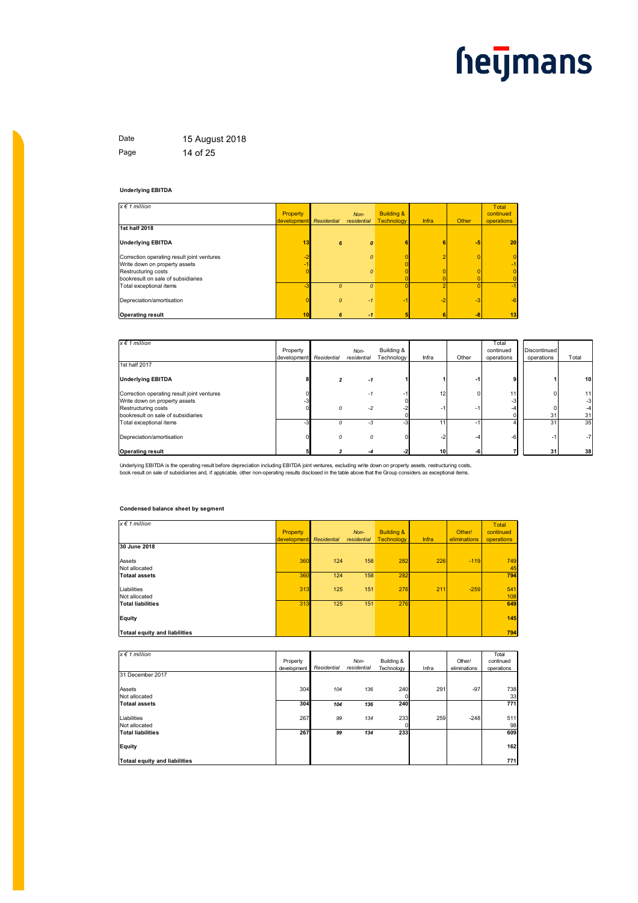Date 15 August 2018 Page 14 of 25

#### **Underlying EBITDA**

| $x \in 1$ million                          |             |               |                  |                       |       |       | Total          |
|--------------------------------------------|-------------|---------------|------------------|-----------------------|-------|-------|----------------|
|                                            | Property    |               | $Non-$           | <b>Building &amp;</b> |       |       | continued      |
|                                            | development | Residential   | residential      | Technology            | Infra | Other | operations     |
| 1st half 2018                              |             |               |                  |                       |       |       |                |
| <b>Underlying EBITDA</b>                   | 13          | 6             | $\boldsymbol{0}$ | 6                     |       | $-5$  | 20             |
| Correction operating result joint ventures | -2          |               | $\Omega$         |                       |       |       | $\overline{0}$ |
| Write down on property assets              |             |               |                  |                       |       |       | $-1$           |
| Restructuring costs                        |             |               | $\Omega$         |                       |       |       | $\overline{0}$ |
| bookresult on sale of subsidiaries         |             |               |                  |                       |       |       | 0              |
| Total exceptional items                    | $-3$        | $\Omega$      | $\Omega$         |                       |       |       | $-1$           |
| Depreciation/amortisation                  |             | $\mathcal{O}$ | $-1$             | -2                    | $-2$  | $-3$  | $-6$           |
| <b>Operating result</b>                    | 10          | 6             | $-1$             |                       |       | -8    | 13             |

| $x \in 1$ million                          |             |             |             |            |                 |       | Total      |              |       |
|--------------------------------------------|-------------|-------------|-------------|------------|-----------------|-------|------------|--------------|-------|
|                                            | Property    |             | Non-        | Building & |                 |       | continued  | Discontinued |       |
|                                            | development | Residential | residential | Technology | Infra           | Other | operations | operations   | Total |
| 1st half 2017                              |             |             |             |            |                 |       |            |              |       |
| <b>Underlying EBITDA</b>                   |             |             | -1          |            |                 | -1    | <b>g</b>   |              | 10    |
| Correction operating result joint ventures |             |             | -1          |            | 12              | ŋ     | 11         |              | 11    |
| Write down on property assets              |             |             |             |            |                 |       | $-3$       |              | -3    |
| Restructuring costs                        |             |             | $-2$        |            |                 | -1    | -4         |              |       |
| bookresult on sale of subsidiaries         |             |             |             |            |                 |       |            | 31           | 31    |
| Total exceptional items                    | -3          |             | $-3$        |            |                 | -1    |            | 31           | 35    |
| Depreciation/amortisation                  |             |             | 0           |            |                 | -4    | $-6$       | -1           | -7    |
| <b>Operating result</b>                    |             |             | -4          |            | 10 <sup>1</sup> | -6    |            | 31           | 38    |

Underlying EBITDA is the operating result before depreciation including EBITDA joint ventures, excluding write down on property assets, restructuring costs,<br>book result on sale of subsidiaries and, if applicable, other non

#### **Condensed balance sheet by segment**

| $x \in 1$ million                    |            |             |             |                       |       |              | Total      |
|--------------------------------------|------------|-------------|-------------|-----------------------|-------|--------------|------------|
|                                      | Property   |             | Non-        | <b>Building &amp;</b> |       | Other/       | continued  |
|                                      | developmen | Residential | residential | <b>Technology</b>     | Infra | eliminations | operations |
| 30 June 2018                         |            |             |             |                       |       |              |            |
| Assets                               | <b>360</b> | 124         | 158         | 282                   | 226   | $-119$       | 749        |
| Not allocated                        |            |             |             |                       |       |              | 45         |
| <b>Totaal assets</b>                 | <b>360</b> | 124         | 158         | 282                   |       |              | 794        |
| Liabilities                          | 313        | 125         | 151         | 276                   | 211   | $-259$       | 541        |
| Not allocated                        |            |             |             |                       |       |              | 108        |
| <b>Total liabilities</b>             | 313        | 125         | 151         | 276                   |       |              | 649        |
| Equity                               |            |             |             |                       |       |              | 145        |
| <b>Totaal equity and liabilities</b> |            |             |             |                       |       |              | 794        |

| $x \in 1$ million                    |             |             |             |            |       |              | Total      |
|--------------------------------------|-------------|-------------|-------------|------------|-------|--------------|------------|
|                                      | Property    |             | Non-        | Building & |       | Other/       | continued  |
|                                      | development | Residential | residential | Technology | Infra | eliminations | operations |
| 31 December 2017                     |             |             |             |            |       |              |            |
| Assets                               | 304         | 104         | 136         | 240        | 291   | $-97$        | 738        |
| Not allocated                        |             |             |             | 0          |       |              | 33         |
| <b>Totaal assets</b>                 | 304         | 104         | 136         | <b>240</b> |       |              | 771        |
| Liabilities                          | 267         | 99          | 134         | 233        | 259   | $-248$       | 511        |
| Not allocated                        |             |             |             | 0          |       |              | 98         |
| <b>Total liabilities</b>             | 267         | 99          | 134         | 233        |       |              | 609        |
| Equity                               |             |             |             |            |       |              | 162        |
| <b>Totaal equity and liabilities</b> |             |             |             |            |       |              | 771        |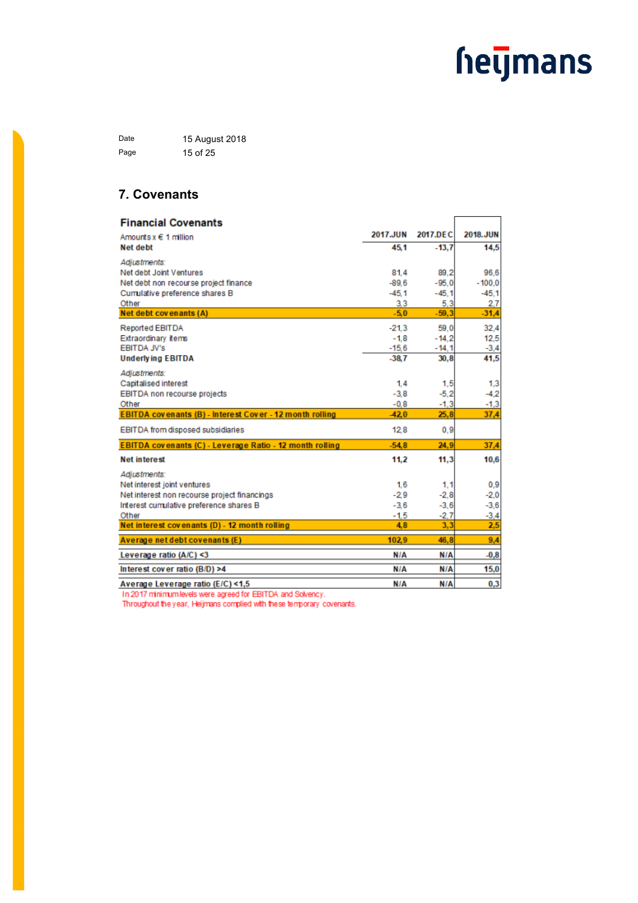Date 15 August 2018 Page 15 of 25

### **7. Covenants**

| <b>Financial Covenants</b>                                      |                   |                    |                |
|-----------------------------------------------------------------|-------------------|--------------------|----------------|
| Amounts $x \in 1$ million                                       | 2017.JUN          | 2017.DEC           | 2018.JUN       |
| <b>Net debt</b>                                                 | 45.1              | $-13.7$            | 14,5           |
| Adjustments:                                                    |                   |                    |                |
| Net debt Joint Ventures                                         | 81.4              | 89.2               | 96.6           |
| Net debt non recourse project finance                           | $-89.6$           | $-95.0$            | $-100.0$       |
| Cumulative preference shares B                                  | $-45.1$           | $-45.1$            | $-45.1$        |
| Other<br>Net debt covenants (A)                                 | 3.3<br>$-5.0$     | 5.3<br>$-59.3$     | 2.7<br>$-31,4$ |
|                                                                 |                   |                    |                |
| Reported EBITDA<br>Extraordinary items                          | $-21.3$<br>$-1.8$ | 59.0               | 32,4           |
| <b>EBITDA JV's</b>                                              | $-15.6$           | $-14,2$<br>$-14.1$ | 12,5<br>$-3,4$ |
| <b>Underlying EBITDA</b>                                        | $-38.7$           | 30,8               | 41,5           |
| Adjustments:                                                    |                   |                    |                |
| Capitalised interest                                            | 1.4               | 1.5                | 1,3            |
| EBITDA non recourse projects                                    | $-3.8$            | $-5.2$             | $-4.2$         |
| Other                                                           | $-0.8$            | $-1,3$             | $-1,3$         |
| <b>EBITDA covenants (B) - Interest Cover - 12 month rolling</b> | $-42.0$           | 25.8               | 37,4           |
| EBITDA from disposed subsidiaries                               | 128               | 0,9                |                |
| EBITDA covenants (C) - Leverage Ratio - 12 month rolling        | $-54.8$           | 24,9               | 37,4           |
| <b>Net interest</b>                                             | 11.2              | 11.3               | 10,6           |
| Adiustments:                                                    |                   |                    |                |
| Net interest joint ventures                                     | 1.6               | 1.1                | 0.9            |
| Net interest non recourse project financings                    | $-2.9$            | $-2,8$             | $-2.0$         |
| Interest cumulative preference shares B                         | $-3.6$            | $-3,6$             | $-3,6$         |
| Other<br>Net interest covenants (D) - 12 month rolling          | $-1.5$<br>4.8     | $-2.7$<br>3,3      | $-3,4$<br>2,5  |
| Average net debt covenants (E)                                  | 102.9             | 46.8               | 9,4            |
| Leverage ratio (A/C) <3                                         | N/A               | N/A                | $-0,8$         |
|                                                                 |                   |                    |                |
| Interest cover ratio (B/D) >4                                   | N/A               | N/A                | 15,0           |
| Average Leverage ratio (E/C) <1.5                               | N/A               | N/A                | 0.3            |

In 2017 minimum levels were agreed for EBITDA and Solvency.

Throughout the year, Heijmans complied with these temporary covenants.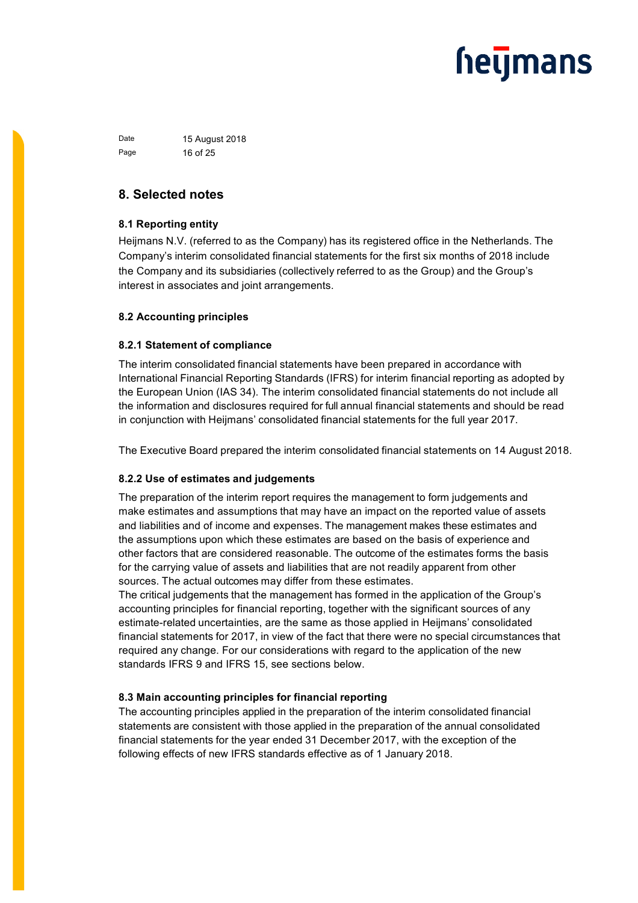Date 15 August 2018 Page 16 of 25

### **8. Selected notes**

### **8.1 Reporting entity**

Heijmans N.V. (referred to as the Company) has its registered office in the Netherlands. The Company's interim consolidated financial statements for the first six months of 2018 include the Company and its subsidiaries (collectively referred to as the Group) and the Group's interest in associates and joint arrangements.

### **8.2 Accounting principles**

### **8.2.1 Statement of compliance**

The interim consolidated financial statements have been prepared in accordance with International Financial Reporting Standards (IFRS) for interim financial reporting as adopted by the European Union (IAS 34). The interim consolidated financial statements do not include all the information and disclosures required for full annual financial statements and should be read in conjunction with Heijmans' consolidated financial statements for the full year 2017.

The Executive Board prepared the interim consolidated financial statements on 14 August 2018.

### **8.2.2 Use of estimates and judgements**

The preparation of the interim report requires the management to form judgements and make estimates and assumptions that may have an impact on the reported value of assets and liabilities and of income and expenses. The management makes these estimates and the assumptions upon which these estimates are based on the basis of experience and other factors that are considered reasonable. The outcome of the estimates forms the basis for the carrying value of assets and liabilities that are not readily apparent from other sources. The actual outcomes may differ from these estimates.

The critical judgements that the management has formed in the application of the Group's accounting principles for financial reporting, together with the significant sources of any estimate-related uncertainties, are the same as those applied in Heijmans' consolidated financial statements for 2017, in view of the fact that there were no special circumstances that required any change. For our considerations with regard to the application of the new standards IFRS 9 and IFRS 15, see sections below.

### **8.3 Main accounting principles for financial reporting**

The accounting principles applied in the preparation of the interim consolidated financial statements are consistent with those applied in the preparation of the annual consolidated financial statements for the year ended 31 December 2017, with the exception of the following effects of new IFRS standards effective as of 1 January 2018.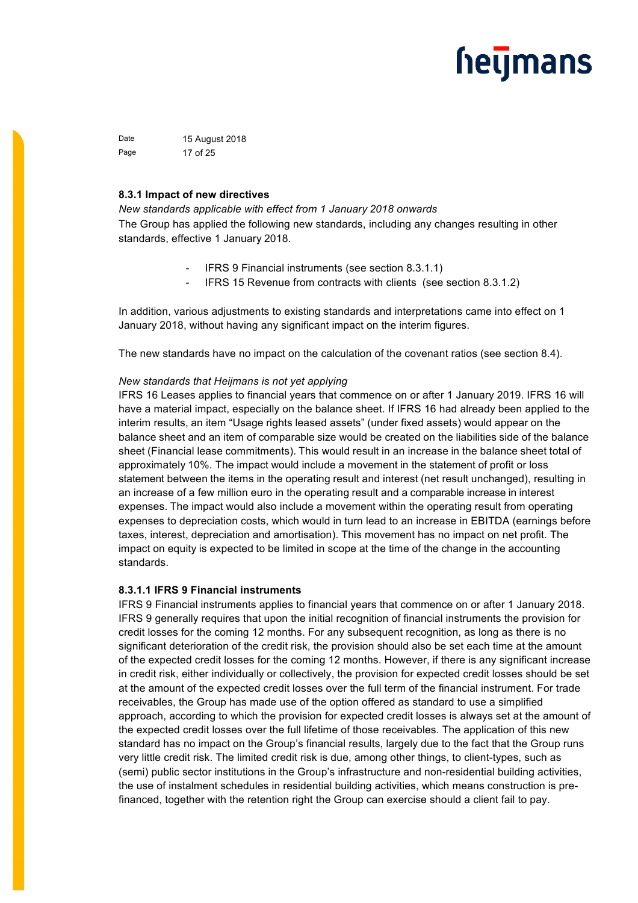Date 15 August 2018 Page 17 of 25

### **8.3.1 Impact of new directives**

*New standards applicable with effect from 1 January 2018 onwards* The Group has applied the following new standards, including any changes resulting in other standards, effective 1 January 2018.

- IFRS 9 Financial instruments (see section 8.3.1.1)
- IFRS 15 Revenue from contracts with clients (see section 8.3.1.2)

In addition, various adjustments to existing standards and interpretations came into effect on 1 January 2018, without having any significant impact on the interim figures.

The new standards have no impact on the calculation of the covenant ratios (see section 8.4).

### *New standards that Heijmans is not yet applying*

IFRS 16 Leases applies to financial years that commence on or after 1 January 2019. IFRS 16 will have a material impact, especially on the balance sheet. If IFRS 16 had already been applied to the interim results, an item "Usage rights leased assets" (under fixed assets) would appear on the balance sheet and an item of comparable size would be created on the liabilities side of the balance sheet (Financial lease commitments). This would result in an increase in the balance sheet total of approximately 10%. The impact would include a movement in the statement of profit or loss statement between the items in the operating result and interest (net result unchanged), resulting in an increase of a few million euro in the operating result and a comparable increase in interest expenses. The impact would also include a movement within the operating result from operating expenses to depreciation costs, which would in turn lead to an increase in EBITDA (earnings before taxes, interest, depreciation and amortisation). This movement has no impact on net profit. The impact on equity is expected to be limited in scope at the time of the change in the accounting standards.

### **8.3.1.1 IFRS 9 Financial instruments**

IFRS 9 Financial instruments applies to financial years that commence on or after 1 January 2018. IFRS 9 generally requires that upon the initial recognition of financial instruments the provision for credit losses for the coming 12 months. For any subsequent recognition, as long as there is no significant deterioration of the credit risk, the provision should also be set each time at the amount of the expected credit losses for the coming 12 months. However, if there is any significant increase in credit risk, either individually or collectively, the provision for expected credit losses should be set at the amount of the expected credit losses over the full term of the financial instrument. For trade receivables, the Group has made use of the option offered as standard to use a simplified approach, according to which the provision for expected credit losses is always set at the amount of the expected credit losses over the full lifetime of those receivables. The application of this new standard has no impact on the Group's financial results, largely due to the fact that the Group runs very little credit risk. The limited credit risk is due, among other things, to client-types, such as (semi) public sector institutions in the Group's infrastructure and non-residential building activities, the use of instalment schedules in residential building activities, which means construction is prefinanced, together with the retention right the Group can exercise should a client fail to pay.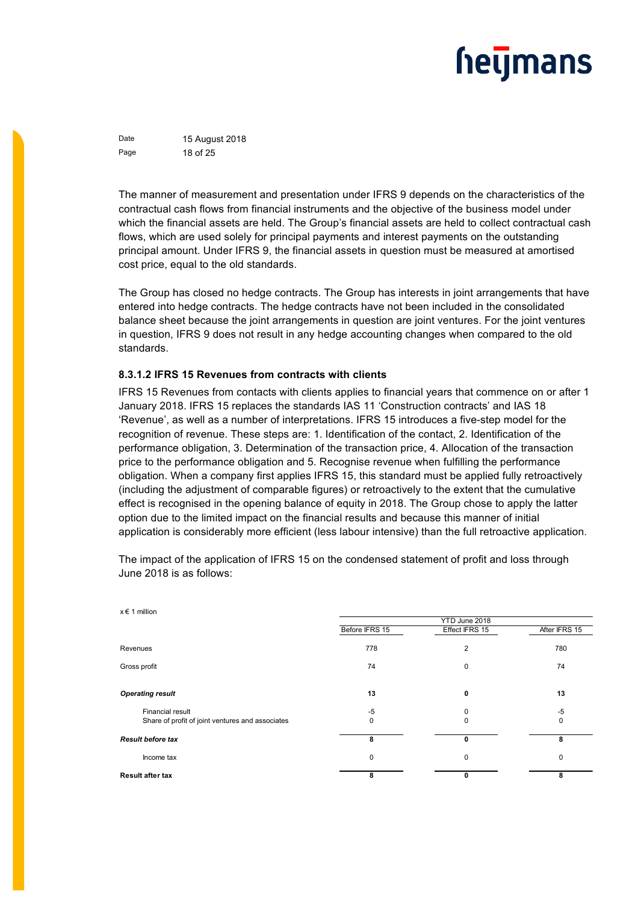Date 15 August 2018 Page 18 of 25

The manner of measurement and presentation under IFRS 9 depends on the characteristics of the contractual cash flows from financial instruments and the objective of the business model under which the financial assets are held. The Group's financial assets are held to collect contractual cash flows, which are used solely for principal payments and interest payments on the outstanding principal amount. Under IFRS 9, the financial assets in question must be measured at amortised cost price, equal to the old standards.

The Group has closed no hedge contracts. The Group has interests in joint arrangements that have entered into hedge contracts. The hedge contracts have not been included in the consolidated balance sheet because the joint arrangements in question are joint ventures. For the joint ventures in question, IFRS 9 does not result in any hedge accounting changes when compared to the old standards.

### **8.3.1.2 IFRS 15 Revenues from contracts with clients**

IFRS 15 Revenues from contacts with clients applies to financial years that commence on or after 1 January 2018. IFRS 15 replaces the standards IAS 11 'Construction contracts' and IAS 18 'Revenue', as well as a number of interpretations. IFRS 15 introduces a five-step model for the recognition of revenue. These steps are: 1. Identification of the contact, 2. Identification of the performance obligation, 3. Determination of the transaction price, 4. Allocation of the transaction price to the performance obligation and 5. Recognise revenue when fulfilling the performance obligation. When a company first applies IFRS 15, this standard must be applied fully retroactively (including the adjustment of comparable figures) or retroactively to the extent that the cumulative effect is recognised in the opening balance of equity in 2018. The Group chose to apply the latter option due to the limited impact on the financial results and because this manner of initial application is considerably more efficient (less labour intensive) than the full retroactive application.

The impact of the application of IFRS 15 on the condensed statement of profit and loss through June 2018 is as follows:

| $x \in 1$ million                                |                                                                                                            |                |               |
|--------------------------------------------------|------------------------------------------------------------------------------------------------------------|----------------|---------------|
|                                                  |                                                                                                            | YTD June 2018  |               |
|                                                  | Before IFRS 15                                                                                             | Effect IFRS 15 | After IFRS 15 |
|                                                  | 778                                                                                                        | $\overline{2}$ | 780           |
|                                                  | 74                                                                                                         | $\mathbf 0$    | 74            |
|                                                  | 13                                                                                                         | 0              | 13            |
| <b>Financial result</b>                          | $-5$                                                                                                       | 0              | $-5$          |
| Share of profit of joint ventures and associates | 0                                                                                                          | $\mathbf 0$    | 0             |
|                                                  | 8                                                                                                          | $\mathbf 0$    | 8             |
| Income tax                                       | 0                                                                                                          | 0              | $\mathbf 0$   |
|                                                  | 8                                                                                                          | 0              | 8             |
|                                                  | Revenues<br>Gross profit<br><b>Operating result</b><br><b>Result before tax</b><br><b>Result after tax</b> |                |               |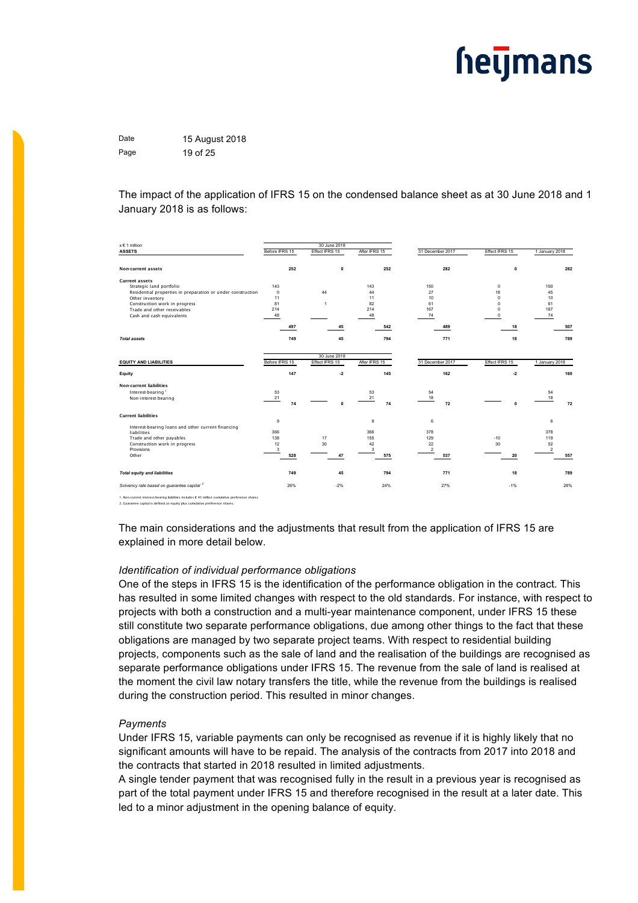Date 15 August 2018 Page 19 of 25

The impact of the application of IFRS 15 on the condensed balance sheet as at 30 June 2018 and 1 January 2018 is as follows:

| <b>ASSETS</b><br>Before IFRS 15<br>After IFRS 15<br>Effect IFRS 15<br>Effect IFRS 15<br>31 December 2017<br>1 January 2018<br>252<br>$\mathbf 0$<br>252<br>282<br>$\mathbf{0}$<br>Non-current assets<br><b>Current assets</b><br>143<br>150<br>150<br>Strategic land portfolio<br>143<br>$^{\circ}$<br>$\mathbf 0$<br>44<br>44<br>27<br>Residential properties in preparation or under construction<br>18<br>45<br>11<br>10<br>11<br>$\Omega$<br>10<br>Other inventory<br>Construction work in progress<br>81<br>82<br>61<br>$\Omega$<br>61<br>$\blacktriangleleft$<br>214<br>214<br>167<br>167<br>Trade and other receivables<br>$\Omega$<br>Cash and cash equivalents<br>48<br>48<br>74<br>74<br>$\Omega$<br>45<br>497<br>542<br>489<br>18<br>749<br>45<br>794<br>771<br>18<br><b>Total assets</b><br>30 June 2018<br>Before IFRS 15<br>Effect IFRS 15<br>After IFRS 15<br>31 December 2017<br>Effect IFRS 15<br>1 January 2018<br><b>EQUITY AND LIABILITIES</b><br>147<br>$-2$<br>145<br>162<br>$-2$<br>Equity<br><b>Non-current liabilities</b><br>53<br>54<br>54<br>Interest-bearing <sup>1</sup><br>53<br>21<br>18<br>Non-interest-bearing<br>21<br>18<br>74<br>72<br>74<br>$\Omega$<br>$\Omega$<br><b>Current liabilities</b><br>9<br>9<br>6<br>6<br>Interest-bearing loans and other current financing<br>366<br>378<br>liabilities<br>366<br>378<br>138<br>129<br>Trade and other payables<br>17<br>155<br>$-10$<br>119<br>12<br>30<br>42<br>22<br>52<br>30<br>Construction work in progress<br>$\overline{2}$<br>Provisions<br>3<br>$\boldsymbol{2}$<br>3<br>557<br>528<br>47<br>575<br>537<br>20<br>Other | x € 1 million | 30 June 2018 |  |     |
|----------------------------------------------------------------------------------------------------------------------------------------------------------------------------------------------------------------------------------------------------------------------------------------------------------------------------------------------------------------------------------------------------------------------------------------------------------------------------------------------------------------------------------------------------------------------------------------------------------------------------------------------------------------------------------------------------------------------------------------------------------------------------------------------------------------------------------------------------------------------------------------------------------------------------------------------------------------------------------------------------------------------------------------------------------------------------------------------------------------------------------------------------------------------------------------------------------------------------------------------------------------------------------------------------------------------------------------------------------------------------------------------------------------------------------------------------------------------------------------------------------------------------------------------------------------------------------------------------------------------|---------------|--------------|--|-----|
|                                                                                                                                                                                                                                                                                                                                                                                                                                                                                                                                                                                                                                                                                                                                                                                                                                                                                                                                                                                                                                                                                                                                                                                                                                                                                                                                                                                                                                                                                                                                                                                                                      |               |              |  |     |
|                                                                                                                                                                                                                                                                                                                                                                                                                                                                                                                                                                                                                                                                                                                                                                                                                                                                                                                                                                                                                                                                                                                                                                                                                                                                                                                                                                                                                                                                                                                                                                                                                      |               |              |  | 282 |
|                                                                                                                                                                                                                                                                                                                                                                                                                                                                                                                                                                                                                                                                                                                                                                                                                                                                                                                                                                                                                                                                                                                                                                                                                                                                                                                                                                                                                                                                                                                                                                                                                      |               |              |  |     |
|                                                                                                                                                                                                                                                                                                                                                                                                                                                                                                                                                                                                                                                                                                                                                                                                                                                                                                                                                                                                                                                                                                                                                                                                                                                                                                                                                                                                                                                                                                                                                                                                                      |               |              |  |     |
|                                                                                                                                                                                                                                                                                                                                                                                                                                                                                                                                                                                                                                                                                                                                                                                                                                                                                                                                                                                                                                                                                                                                                                                                                                                                                                                                                                                                                                                                                                                                                                                                                      |               |              |  |     |
|                                                                                                                                                                                                                                                                                                                                                                                                                                                                                                                                                                                                                                                                                                                                                                                                                                                                                                                                                                                                                                                                                                                                                                                                                                                                                                                                                                                                                                                                                                                                                                                                                      |               |              |  |     |
|                                                                                                                                                                                                                                                                                                                                                                                                                                                                                                                                                                                                                                                                                                                                                                                                                                                                                                                                                                                                                                                                                                                                                                                                                                                                                                                                                                                                                                                                                                                                                                                                                      |               |              |  |     |
|                                                                                                                                                                                                                                                                                                                                                                                                                                                                                                                                                                                                                                                                                                                                                                                                                                                                                                                                                                                                                                                                                                                                                                                                                                                                                                                                                                                                                                                                                                                                                                                                                      |               |              |  |     |
|                                                                                                                                                                                                                                                                                                                                                                                                                                                                                                                                                                                                                                                                                                                                                                                                                                                                                                                                                                                                                                                                                                                                                                                                                                                                                                                                                                                                                                                                                                                                                                                                                      |               |              |  |     |
|                                                                                                                                                                                                                                                                                                                                                                                                                                                                                                                                                                                                                                                                                                                                                                                                                                                                                                                                                                                                                                                                                                                                                                                                                                                                                                                                                                                                                                                                                                                                                                                                                      |               |              |  | 507 |
|                                                                                                                                                                                                                                                                                                                                                                                                                                                                                                                                                                                                                                                                                                                                                                                                                                                                                                                                                                                                                                                                                                                                                                                                                                                                                                                                                                                                                                                                                                                                                                                                                      |               |              |  | 789 |
|                                                                                                                                                                                                                                                                                                                                                                                                                                                                                                                                                                                                                                                                                                                                                                                                                                                                                                                                                                                                                                                                                                                                                                                                                                                                                                                                                                                                                                                                                                                                                                                                                      |               |              |  |     |
|                                                                                                                                                                                                                                                                                                                                                                                                                                                                                                                                                                                                                                                                                                                                                                                                                                                                                                                                                                                                                                                                                                                                                                                                                                                                                                                                                                                                                                                                                                                                                                                                                      |               |              |  |     |
|                                                                                                                                                                                                                                                                                                                                                                                                                                                                                                                                                                                                                                                                                                                                                                                                                                                                                                                                                                                                                                                                                                                                                                                                                                                                                                                                                                                                                                                                                                                                                                                                                      |               |              |  | 160 |
|                                                                                                                                                                                                                                                                                                                                                                                                                                                                                                                                                                                                                                                                                                                                                                                                                                                                                                                                                                                                                                                                                                                                                                                                                                                                                                                                                                                                                                                                                                                                                                                                                      |               |              |  |     |
|                                                                                                                                                                                                                                                                                                                                                                                                                                                                                                                                                                                                                                                                                                                                                                                                                                                                                                                                                                                                                                                                                                                                                                                                                                                                                                                                                                                                                                                                                                                                                                                                                      |               |              |  |     |
|                                                                                                                                                                                                                                                                                                                                                                                                                                                                                                                                                                                                                                                                                                                                                                                                                                                                                                                                                                                                                                                                                                                                                                                                                                                                                                                                                                                                                                                                                                                                                                                                                      |               |              |  |     |
|                                                                                                                                                                                                                                                                                                                                                                                                                                                                                                                                                                                                                                                                                                                                                                                                                                                                                                                                                                                                                                                                                                                                                                                                                                                                                                                                                                                                                                                                                                                                                                                                                      |               |              |  | 72  |
|                                                                                                                                                                                                                                                                                                                                                                                                                                                                                                                                                                                                                                                                                                                                                                                                                                                                                                                                                                                                                                                                                                                                                                                                                                                                                                                                                                                                                                                                                                                                                                                                                      |               |              |  |     |
|                                                                                                                                                                                                                                                                                                                                                                                                                                                                                                                                                                                                                                                                                                                                                                                                                                                                                                                                                                                                                                                                                                                                                                                                                                                                                                                                                                                                                                                                                                                                                                                                                      |               |              |  |     |
|                                                                                                                                                                                                                                                                                                                                                                                                                                                                                                                                                                                                                                                                                                                                                                                                                                                                                                                                                                                                                                                                                                                                                                                                                                                                                                                                                                                                                                                                                                                                                                                                                      |               |              |  |     |
|                                                                                                                                                                                                                                                                                                                                                                                                                                                                                                                                                                                                                                                                                                                                                                                                                                                                                                                                                                                                                                                                                                                                                                                                                                                                                                                                                                                                                                                                                                                                                                                                                      |               |              |  |     |
|                                                                                                                                                                                                                                                                                                                                                                                                                                                                                                                                                                                                                                                                                                                                                                                                                                                                                                                                                                                                                                                                                                                                                                                                                                                                                                                                                                                                                                                                                                                                                                                                                      |               |              |  |     |
|                                                                                                                                                                                                                                                                                                                                                                                                                                                                                                                                                                                                                                                                                                                                                                                                                                                                                                                                                                                                                                                                                                                                                                                                                                                                                                                                                                                                                                                                                                                                                                                                                      |               |              |  |     |
|                                                                                                                                                                                                                                                                                                                                                                                                                                                                                                                                                                                                                                                                                                                                                                                                                                                                                                                                                                                                                                                                                                                                                                                                                                                                                                                                                                                                                                                                                                                                                                                                                      |               |              |  |     |
|                                                                                                                                                                                                                                                                                                                                                                                                                                                                                                                                                                                                                                                                                                                                                                                                                                                                                                                                                                                                                                                                                                                                                                                                                                                                                                                                                                                                                                                                                                                                                                                                                      |               |              |  |     |
| <b>Total equity and liabilities</b><br>749<br>45<br>794<br>771<br>18                                                                                                                                                                                                                                                                                                                                                                                                                                                                                                                                                                                                                                                                                                                                                                                                                                                                                                                                                                                                                                                                                                                                                                                                                                                                                                                                                                                                                                                                                                                                                 |               |              |  | 789 |
| Solvency rate based on guarantee capital <sup>2</sup><br>$-2%$<br>24%<br>27%<br>$-1%$<br>26%                                                                                                                                                                                                                                                                                                                                                                                                                                                                                                                                                                                                                                                                                                                                                                                                                                                                                                                                                                                                                                                                                                                                                                                                                                                                                                                                                                                                                                                                                                                         |               |              |  | 26% |

1. Non-current interest-bearing liabilities includes € 45 million cumulative preference shares 2. Guarantee capital is defined as equity plus cumulative preference shares.

The main considerations and the adjustments that result from the application of IFRS 15 are explained in more detail below.

### *Identification of individual performance obligations*

One of the steps in IFRS 15 is the identification of the performance obligation in the contract. This has resulted in some limited changes with respect to the old standards. For instance, with respect to projects with both a construction and a multi-year maintenance component, under IFRS 15 these still constitute two separate performance obligations, due among other things to the fact that these obligations are managed by two separate project teams. With respect to residential building projects, components such as the sale of land and the realisation of the buildings are recognised as separate performance obligations under IFRS 15. The revenue from the sale of land is realised at the moment the civil law notary transfers the title, while the revenue from the buildings is realised during the construction period. This resulted in minor changes.

#### *Payments*

Under IFRS 15, variable payments can only be recognised as revenue if it is highly likely that no significant amounts will have to be repaid. The analysis of the contracts from 2017 into 2018 and the contracts that started in 2018 resulted in limited adjustments.

A single tender payment that was recognised fully in the result in a previous year is recognised as part of the total payment under IFRS 15 and therefore recognised in the result at a later date. This led to a minor adjustment in the opening balance of equity.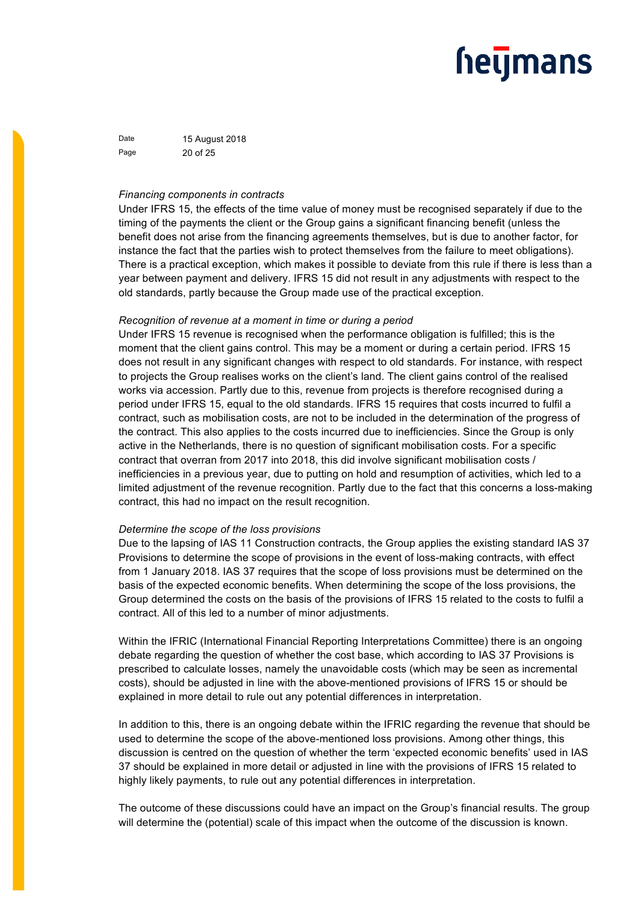Date 15 August 2018 Page 20 of 25

### *Financing components in contracts*

Under IFRS 15, the effects of the time value of money must be recognised separately if due to the timing of the payments the client or the Group gains a significant financing benefit (unless the benefit does not arise from the financing agreements themselves, but is due to another factor, for instance the fact that the parties wish to protect themselves from the failure to meet obligations). There is a practical exception, which makes it possible to deviate from this rule if there is less than a year between payment and delivery. IFRS 15 did not result in any adjustments with respect to the old standards, partly because the Group made use of the practical exception.

### *Recognition of revenue at a moment in time or during a period*

Under IFRS 15 revenue is recognised when the performance obligation is fulfilled; this is the moment that the client gains control. This may be a moment or during a certain period. IFRS 15 does not result in any significant changes with respect to old standards. For instance, with respect to projects the Group realises works on the client's land. The client gains control of the realised works via accession. Partly due to this, revenue from projects is therefore recognised during a period under IFRS 15, equal to the old standards. IFRS 15 requires that costs incurred to fulfil a contract, such as mobilisation costs, are not to be included in the determination of the progress of the contract. This also applies to the costs incurred due to inefficiencies. Since the Group is only active in the Netherlands, there is no question of significant mobilisation costs. For a specific contract that overran from 2017 into 2018, this did involve significant mobilisation costs / inefficiencies in a previous year, due to putting on hold and resumption of activities, which led to a limited adjustment of the revenue recognition. Partly due to the fact that this concerns a loss-making contract, this had no impact on the result recognition.

#### *Determine the scope of the loss provisions*

Due to the lapsing of IAS 11 Construction contracts, the Group applies the existing standard IAS 37 Provisions to determine the scope of provisions in the event of loss-making contracts, with effect from 1 January 2018. IAS 37 requires that the scope of loss provisions must be determined on the basis of the expected economic benefits. When determining the scope of the loss provisions, the Group determined the costs on the basis of the provisions of IFRS 15 related to the costs to fulfil a contract. All of this led to a number of minor adjustments.

Within the IFRIC (International Financial Reporting Interpretations Committee) there is an ongoing debate regarding the question of whether the cost base, which according to IAS 37 Provisions is prescribed to calculate losses, namely the unavoidable costs (which may be seen as incremental costs), should be adjusted in line with the above-mentioned provisions of IFRS 15 or should be explained in more detail to rule out any potential differences in interpretation.

In addition to this, there is an ongoing debate within the IFRIC regarding the revenue that should be used to determine the scope of the above-mentioned loss provisions. Among other things, this discussion is centred on the question of whether the term 'expected economic benefits' used in IAS 37 should be explained in more detail or adjusted in line with the provisions of IFRS 15 related to highly likely payments, to rule out any potential differences in interpretation.

The outcome of these discussions could have an impact on the Group's financial results. The group will determine the (potential) scale of this impact when the outcome of the discussion is known.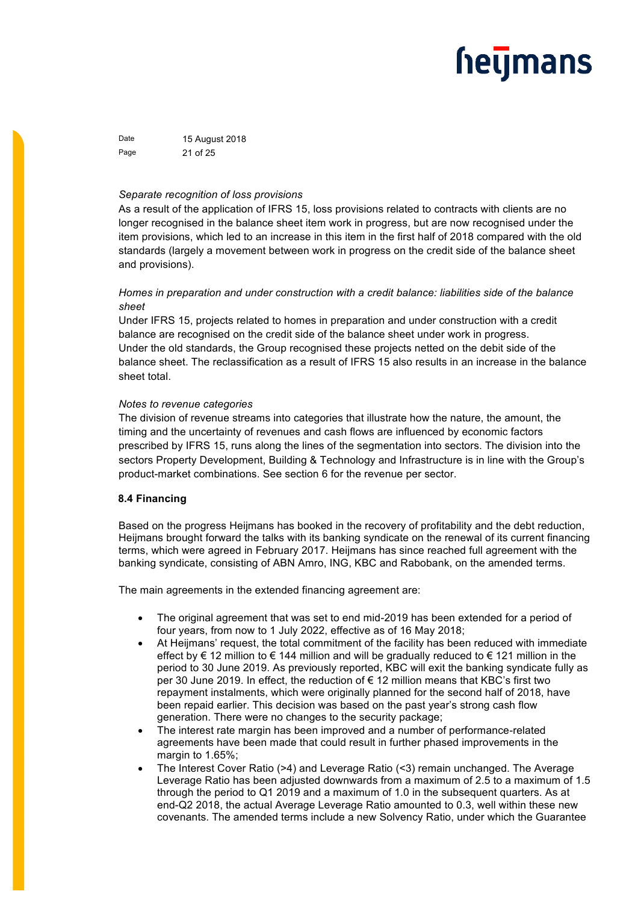Date 15 August 2018 Page 21 of 25

### *Separate recognition of loss provisions*

As a result of the application of IFRS 15, loss provisions related to contracts with clients are no longer recognised in the balance sheet item work in progress, but are now recognised under the item provisions, which led to an increase in this item in the first half of 2018 compared with the old standards (largely a movement between work in progress on the credit side of the balance sheet and provisions).

### *Homes in preparation and under construction with a credit balance: liabilities side of the balance sheet*

Under IFRS 15, projects related to homes in preparation and under construction with a credit balance are recognised on the credit side of the balance sheet under work in progress. Under the old standards, the Group recognised these projects netted on the debit side of the balance sheet. The reclassification as a result of IFRS 15 also results in an increase in the balance sheet total.

### *Notes to revenue categories*

The division of revenue streams into categories that illustrate how the nature, the amount, the timing and the uncertainty of revenues and cash flows are influenced by economic factors prescribed by IFRS 15, runs along the lines of the segmentation into sectors. The division into the sectors Property Development, Building & Technology and Infrastructure is in line with the Group's product-market combinations. See section 6 for the revenue per sector.

### **8.4 Financing**

Based on the progress Heijmans has booked in the recovery of profitability and the debt reduction, Heijmans brought forward the talks with its banking syndicate on the renewal of its current financing terms, which were agreed in February 2017. Heijmans has since reached full agreement with the banking syndicate, consisting of ABN Amro, ING, KBC and Rabobank, on the amended terms.

The main agreements in the extended financing agreement are:

- The original agreement that was set to end mid-2019 has been extended for a period of four years, from now to 1 July 2022, effective as of 16 May 2018;
- At Heijmans' request, the total commitment of the facility has been reduced with immediate effect by € 12 million to € 144 million and will be gradually reduced to € 121 million in the period to 30 June 2019. As previously reported, KBC will exit the banking syndicate fully as per 30 June 2019. In effect, the reduction of  $\epsilon$  12 million means that KBC's first two repayment instalments, which were originally planned for the second half of 2018, have been repaid earlier. This decision was based on the past year's strong cash flow generation. There were no changes to the security package;
- The interest rate margin has been improved and a number of performance-related agreements have been made that could result in further phased improvements in the margin to 1.65%;
- The Interest Cover Ratio (>4) and Leverage Ratio (<3) remain unchanged. The Average Leverage Ratio has been adjusted downwards from a maximum of 2.5 to a maximum of 1.5 through the period to Q1 2019 and a maximum of 1.0 in the subsequent quarters. As at end-Q2 2018, the actual Average Leverage Ratio amounted to 0.3, well within these new covenants. The amended terms include a new Solvency Ratio, under which the Guarantee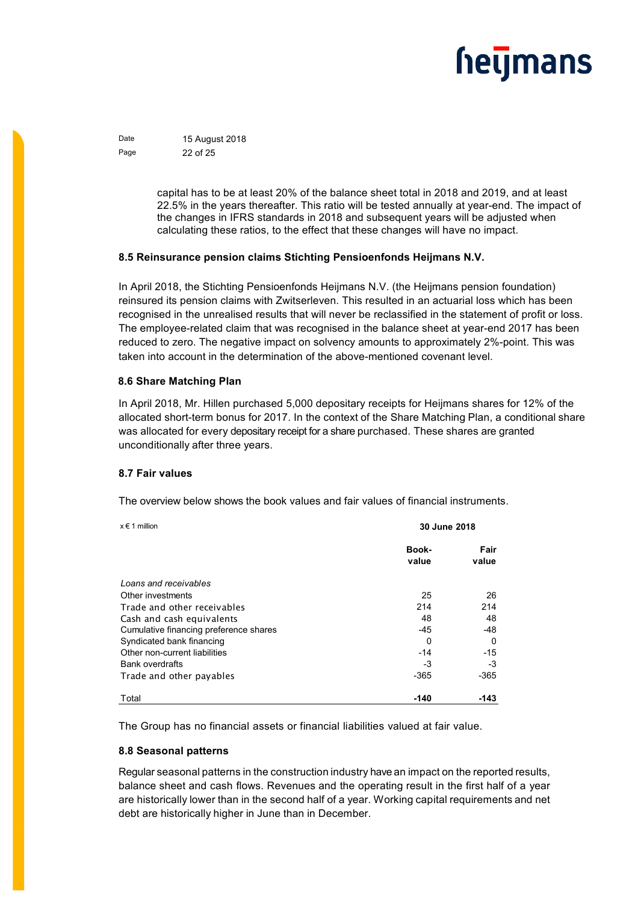Date 15 August 2018 Page 22 of 25

> capital has to be at least 20% of the balance sheet total in 2018 and 2019, and at least 22.5% in the years thereafter. This ratio will be tested annually at year-end. The impact of the changes in IFRS standards in 2018 and subsequent years will be adjusted when calculating these ratios, to the effect that these changes will have no impact.

### **8.5 Reinsurance pension claims Stichting Pensioenfonds Heijmans N.V.**

In April 2018, the Stichting Pensioenfonds Heijmans N.V. (the Heijmans pension foundation) reinsured its pension claims with Zwitserleven. This resulted in an actuarial loss which has been recognised in the unrealised results that will never be reclassified in the statement of profit or loss. The employee-related claim that was recognised in the balance sheet at year-end 2017 has been reduced to zero. The negative impact on solvency amounts to approximately 2%-point. This was taken into account in the determination of the above-mentioned covenant level.

### **8.6 Share Matching Plan**

In April 2018, Mr. Hillen purchased 5,000 depositary receipts for Heijmans shares for 12% of the allocated short-term bonus for 2017. In the context of the Share Matching Plan, a conditional share was allocated for every depositary receipt for a share purchased. These shares are granted unconditionally after three years.

### **8.7 Fair values**

The overview below shows the book values and fair values of financial instruments.

| $x \in 1$ million                      | 30 June 2018   |               |
|----------------------------------------|----------------|---------------|
|                                        | Book-<br>value | Fair<br>value |
| Loans and receivables                  |                |               |
| Other investments                      | 25             | 26            |
| Trade and other receivables            | 214            | 214           |
| Cash and cash equivalents              | 48             | 48            |
| Cumulative financing preference shares | $-45$          | -48           |
| Syndicated bank financing              | 0              | 0             |
| Other non-current liabilities          | $-14$          | $-15$         |
| <b>Bank overdrafts</b>                 | -3             | -3            |
| Trade and other payables               | -365           | $-365$        |
| Total                                  | $-140$         | -143          |

The Group has no financial assets or financial liabilities valued at fair value.

### **8.8 Seasonal patterns**

Regular seasonal patterns in the construction industry have an impact on the reported results, balance sheet and cash flows. Revenues and the operating result in the first half of a year are historically lower than in the second half of a year. Working capital requirements and net debt are historically higher in June than in December.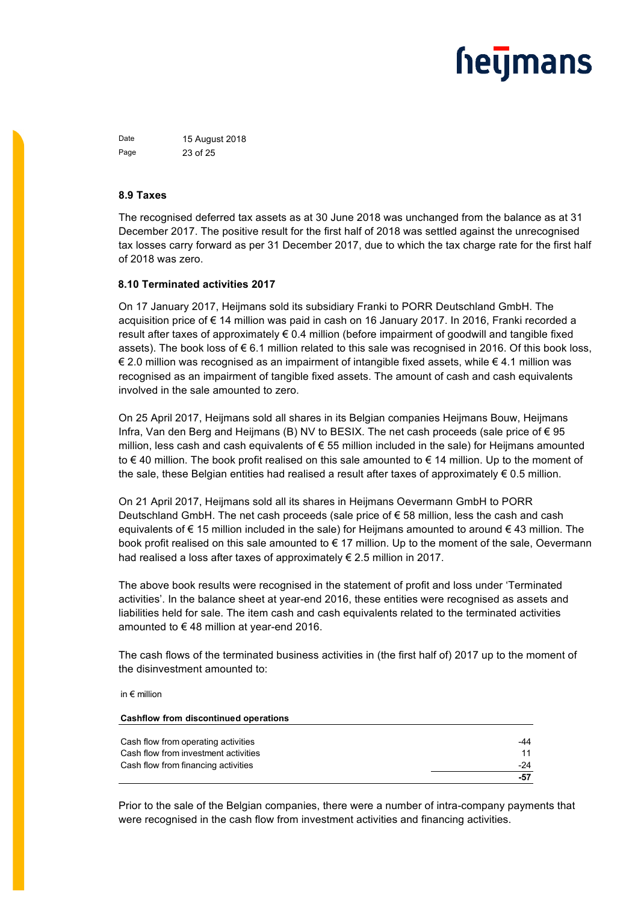Date 15 August 2018 Page 23 of 25

### **8.9 Taxes**

The recognised deferred tax assets as at 30 June 2018 was unchanged from the balance as at 31 December 2017. The positive result for the first half of 2018 was settled against the unrecognised tax losses carry forward as per 31 December 2017, due to which the tax charge rate for the first half of 2018 was zero.

### **8.10 Terminated activities 2017**

On 17 January 2017, Heijmans sold its subsidiary Franki to PORR Deutschland GmbH. The acquisition price of € 14 million was paid in cash on 16 January 2017. In 2016, Franki recorded a result after taxes of approximately € 0.4 million (before impairment of goodwill and tangible fixed assets). The book loss of € 6.1 million related to this sale was recognised in 2016. Of this book loss, € 2.0 million was recognised as an impairment of intangible fixed assets, while € 4.1 million was recognised as an impairment of tangible fixed assets. The amount of cash and cash equivalents involved in the sale amounted to zero.

On 25 April 2017, Heijmans sold all shares in its Belgian companies Heijmans Bouw, Heijmans Infra, Van den Berg and Heijmans (B) NV to BESIX. The net cash proceeds (sale price of € 95 million, less cash and cash equivalents of € 55 million included in the sale) for Heijmans amounted to € 40 million. The book profit realised on this sale amounted to € 14 million. Up to the moment of the sale, these Belgian entities had realised a result after taxes of approximately  $\epsilon$  0.5 million.

On 21 April 2017, Heijmans sold all its shares in Heijmans Oevermann GmbH to PORR Deutschland GmbH. The net cash proceeds (sale price of  $\epsilon$  58 million, less the cash and cash equivalents of € 15 million included in the sale) for Heijmans amounted to around € 43 million. The book profit realised on this sale amounted to € 17 million. Up to the moment of the sale, Oevermann had realised a loss after taxes of approximately € 2.5 million in 2017.

The above book results were recognised in the statement of profit and loss under 'Terminated activities'. In the balance sheet at year-end 2016, these entities were recognised as assets and liabilities held for sale. The item cash and cash equivalents related to the terminated activities amounted to € 48 million at year-end 2016.

The cash flows of the terminated business activities in (the first half of) 2017 up to the moment of the disinvestment amounted to:

in € million

| <b>Cashflow from discontinued operations</b> |       |
|----------------------------------------------|-------|
|                                              |       |
| Cash flow from operating activities          | -44   |
| Cash flow from investment activities         | 11    |
| Cash flow from financing activities          | $-24$ |
|                                              | $-57$ |

Prior to the sale of the Belgian companies, there were a number of intra-company payments that were recognised in the cash flow from investment activities and financing activities.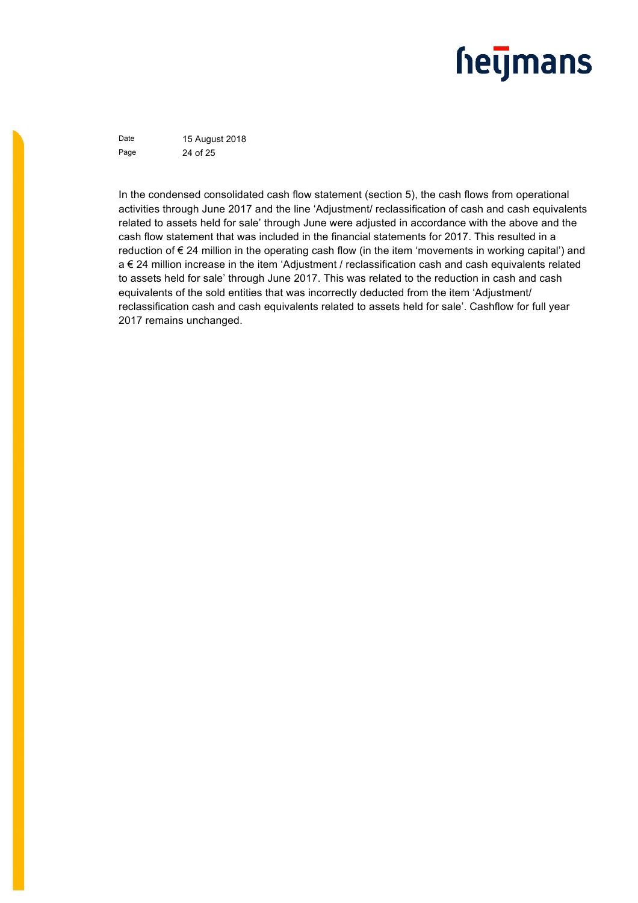Date 15 August 2018 Page 24 of 25

In the condensed consolidated cash flow statement (section 5), the cash flows from operational activities through June 2017 and the line 'Adjustment/ reclassification of cash and cash equivalents related to assets held for sale' through June were adjusted in accordance with the above and the cash flow statement that was included in the financial statements for 2017. This resulted in a reduction of € 24 million in the operating cash flow (in the item 'movements in working capital') and a € 24 million increase in the item 'Adjustment / reclassification cash and cash equivalents related to assets held for sale' through June 2017. This was related to the reduction in cash and cash equivalents of the sold entities that was incorrectly deducted from the item 'Adjustment/ reclassification cash and cash equivalents related to assets held for sale'. Cashflow for full year 2017 remains unchanged.